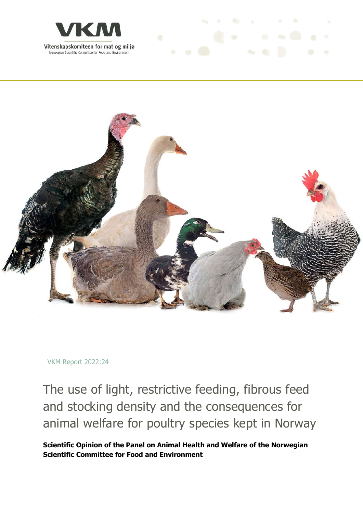



 $\label{eq:3.1} \sigma_2 = 0 \qquad \text{for} \qquad \varphi \qquad \qquad 0 \qquad \text{in} \qquad \qquad \sigma$ 

VKM Report 2022:24

The use of light, restrictive feeding, fibrous feed and stocking density and the consequences for animal welfare for poultry species kept in Norway

Scientific Opinion of the Panel on Animal Health and Welfare of the Norwegian Scientific Committee for Food and Environment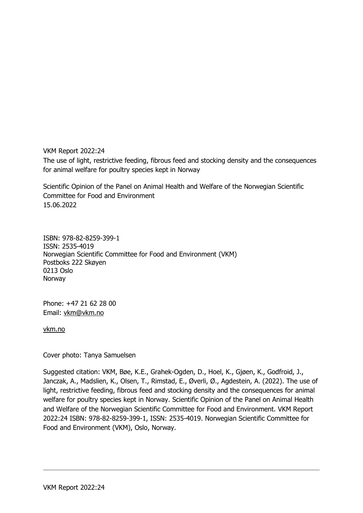VKM Report 2022:24 The use of light, restrictive feeding, fibrous feed and stocking density and the consequences for animal welfare for poultry species kept in Norway

Scientific Opinion of the Panel on Animal Health and Welfare of the Norwegian Scientific Committee for Food and Environment 15.06.2022

ISBN: 978-82-8259-399-1 ISSN: 2535-4019 Norwegian Scientific Committee for Food and Environment (VKM) Postboks 222 Skøyen 0213 Oslo Norway

Phone: +47 21 62 28 00 Email: vkm@vkm.no

vkm.no

Cover photo: Tanya Samuelsen

Suggested citation: VKM, Bøe, K.E., Grahek-Ogden, D., Hoel, K., Gjøen, K., Godfroid, J., Janczak, A., Madslien, K., Olsen, T., Rimstad, E., Øverli, Ø., Agdestein, A. (2022). The use of light, restrictive feeding, fibrous feed and stocking density and the consequences for animal welfare for poultry species kept in Norway. Scientific Opinion of the Panel on Animal Health and Welfare of the Norwegian Scientific Committee for Food and Environment. VKM Report 2022:24 ISBN: 978-82-8259-399-1, ISSN: 2535-4019. Norwegian Scientific Committee for Food and Environment (VKM), Oslo, Norway.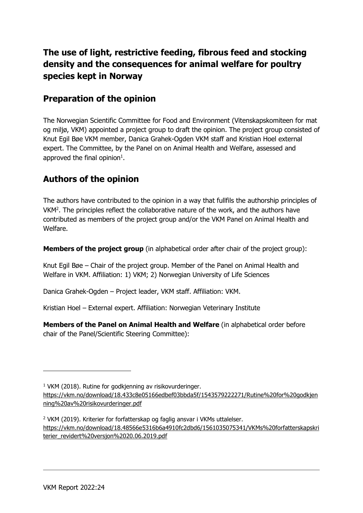# The use of light, restrictive feeding, fibrous feed and stocking density and the consequences for animal welfare for poultry species kept in Norway

## Preparation of the opinion

The Norwegian Scientific Committee for Food and Environment (Vitenskapskomiteen for mat og miljø, VKM) appointed a project group to draft the opinion. The project group consisted of Knut Egil Bøe VKM member, Danica Grahek-Ogden VKM staff and Kristian Hoel external expert. The Committee, by the Panel on on Animal Health and Welfare, assessed and approved the final opinion $1$ .

## Authors of the opinion

The authors have contributed to the opinion in a way that fullfils the authorship principles of VKM<sup>2</sup> . The principles reflect the collaborative nature of the work, and the authors have contributed as members of the project group and/or the VKM Panel on Animal Health and Welfare.

Members of the project group (in alphabetical order after chair of the project group):

Knut Egil Bøe – Chair of the project group. Member of the Panel on Animal Health and Welfare in VKM. Affiliation: 1) VKM; 2) Norwegian University of Life Sciences

Danica Grahek-Ogden – Project leader, VKM staff. Affiliation: VKM.

Kristian Hoel – External expert. Affiliation: Norwegian Veterinary Institute

Members of the Panel on Animal Health and Welfare (in alphabetical order before chair of the Panel/Scientific Steering Committee):

<sup>&</sup>lt;sup>1</sup> VKM (2018). Rutine for godkjenning av risikovurderinger.

https://vkm.no/download/18.433c8e05166edbef03bbda5f/1543579222271/Rutine%20for%20godkjen ning%20av%20risikovurderinger.pdf

<sup>&</sup>lt;sup>2</sup> VKM (2019). Kriterier for forfatterskap og faglig ansvar i VKMs uttalelser. https://vkm.no/download/18.48566e5316b6a4910fc2dbd6/1561035075341/VKMs%20forfatterskapskri terier\_revidert%20versjon%2020.06.2019.pdf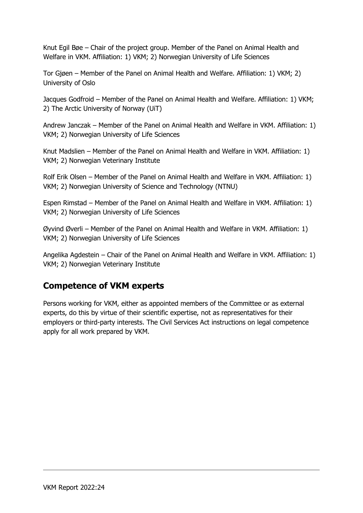Knut Egil Bøe – Chair of the project group. Member of the Panel on Animal Health and Welfare in VKM. Affiliation: 1) VKM; 2) Norwegian University of Life Sciences

Tor Gjøen – Member of the Panel on Animal Health and Welfare. Affiliation: 1) VKM; 2) University of Oslo

Jacques Godfroid – Member of the Panel on Animal Health and Welfare. Affiliation: 1) VKM; 2) The Arctic University of Norway (UiT)

Andrew Janczak – Member of the Panel on Animal Health and Welfare in VKM. Affiliation: 1) VKM; 2) Norwegian University of Life Sciences

Knut Madslien – Member of the Panel on Animal Health and Welfare in VKM. Affiliation: 1) VKM; 2) Norwegian Veterinary Institute

Rolf Erik Olsen – Member of the Panel on Animal Health and Welfare in VKM. Affiliation: 1) VKM; 2) Norwegian University of Science and Technology (NTNU)

Espen Rimstad – Member of the Panel on Animal Health and Welfare in VKM. Affiliation: 1) VKM; 2) Norwegian University of Life Sciences

Øyvind Øverli – Member of the Panel on Animal Health and Welfare in VKM. Affiliation: 1) VKM; 2) Norwegian University of Life Sciences

Angelika Agdestein – Chair of the Panel on Animal Health and Welfare in VKM. Affiliation: 1) VKM; 2) Norwegian Veterinary Institute

## Competence of VKM experts

Persons working for VKM, either as appointed members of the Committee or as external experts, do this by virtue of their scientific expertise, not as representatives for their employers or third-party interests. The Civil Services Act instructions on legal competence apply for all work prepared by VKM.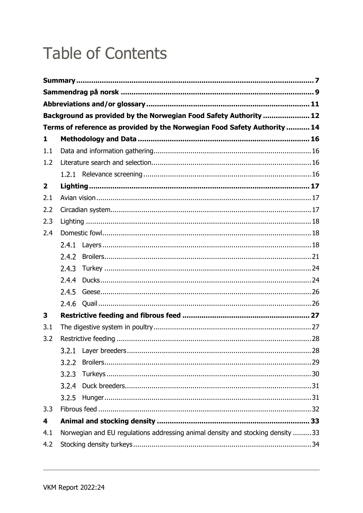# **Table of Contents**

|                         |                                                                                | Background as provided by the Norwegian Food Safety Authority  12         |  |  |  |  |
|-------------------------|--------------------------------------------------------------------------------|---------------------------------------------------------------------------|--|--|--|--|
|                         |                                                                                | Terms of reference as provided by the Norwegian Food Safety Authority  14 |  |  |  |  |
| 1                       |                                                                                |                                                                           |  |  |  |  |
| 1.1                     |                                                                                |                                                                           |  |  |  |  |
| 1.2                     |                                                                                |                                                                           |  |  |  |  |
|                         |                                                                                |                                                                           |  |  |  |  |
| $\overline{\mathbf{2}}$ |                                                                                |                                                                           |  |  |  |  |
| 2.1                     |                                                                                |                                                                           |  |  |  |  |
| 2.2                     |                                                                                |                                                                           |  |  |  |  |
| 2.3                     |                                                                                |                                                                           |  |  |  |  |
| 2.4                     |                                                                                |                                                                           |  |  |  |  |
|                         | 2.4.1                                                                          |                                                                           |  |  |  |  |
|                         | 2.4.2                                                                          |                                                                           |  |  |  |  |
|                         | 2.4.3                                                                          |                                                                           |  |  |  |  |
|                         | 2.4.4                                                                          |                                                                           |  |  |  |  |
|                         | 2.4.5                                                                          |                                                                           |  |  |  |  |
|                         | 2.4.6                                                                          |                                                                           |  |  |  |  |
| 3                       |                                                                                |                                                                           |  |  |  |  |
| 3.1                     |                                                                                |                                                                           |  |  |  |  |
| 3.2                     |                                                                                |                                                                           |  |  |  |  |
|                         |                                                                                |                                                                           |  |  |  |  |
|                         | 3.2.2                                                                          |                                                                           |  |  |  |  |
|                         | 3.2.3                                                                          |                                                                           |  |  |  |  |
|                         | 3.2.4                                                                          |                                                                           |  |  |  |  |
|                         | 3.2.5                                                                          |                                                                           |  |  |  |  |
| 3.3                     |                                                                                |                                                                           |  |  |  |  |
| 4                       |                                                                                |                                                                           |  |  |  |  |
| 4.1                     | Norwegian and EU regulations addressing animal density and stocking density 33 |                                                                           |  |  |  |  |
| 4.2                     |                                                                                |                                                                           |  |  |  |  |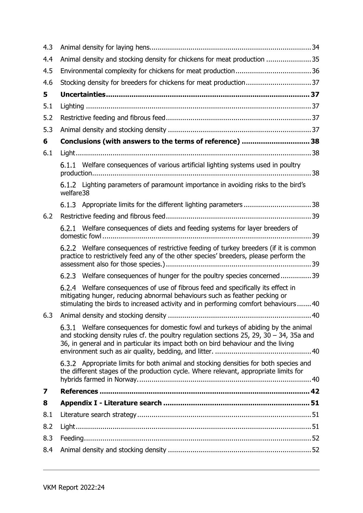| 4.3 |                                                                                                                                                                                                                                                                      |  |  |  |  |
|-----|----------------------------------------------------------------------------------------------------------------------------------------------------------------------------------------------------------------------------------------------------------------------|--|--|--|--|
| 4.4 | Animal density and stocking density for chickens for meat production 35                                                                                                                                                                                              |  |  |  |  |
| 4.5 |                                                                                                                                                                                                                                                                      |  |  |  |  |
| 4.6 |                                                                                                                                                                                                                                                                      |  |  |  |  |
| 5   |                                                                                                                                                                                                                                                                      |  |  |  |  |
| 5.1 |                                                                                                                                                                                                                                                                      |  |  |  |  |
| 5.2 |                                                                                                                                                                                                                                                                      |  |  |  |  |
| 5.3 |                                                                                                                                                                                                                                                                      |  |  |  |  |
| 6   | Conclusions (with answers to the terms of reference)  38                                                                                                                                                                                                             |  |  |  |  |
| 6.1 |                                                                                                                                                                                                                                                                      |  |  |  |  |
|     | 6.1.1 Welfare consequences of various artificial lighting systems used in poultry                                                                                                                                                                                    |  |  |  |  |
|     | 6.1.2 Lighting parameters of paramount importance in avoiding risks to the bird's<br>welfare38                                                                                                                                                                       |  |  |  |  |
|     |                                                                                                                                                                                                                                                                      |  |  |  |  |
| 6.2 |                                                                                                                                                                                                                                                                      |  |  |  |  |
|     | 6.2.1 Welfare consequences of diets and feeding systems for layer breeders of                                                                                                                                                                                        |  |  |  |  |
|     | 6.2.2 Welfare consequences of restrictive feeding of turkey breeders (if it is common<br>practice to restrictively feed any of the other species' breeders, please perform the                                                                                       |  |  |  |  |
|     | 6.2.3 Welfare consequences of hunger for the poultry species concerned39                                                                                                                                                                                             |  |  |  |  |
|     | 6.2.4 Welfare consequences of use of fibrous feed and specifically its effect in<br>mitigating hunger, reducing abnormal behaviours such as feather pecking or<br>stimulating the birds to increased activity and in performing comfort behaviours 40                |  |  |  |  |
|     | 40                                                                                                                                                                                                                                                                   |  |  |  |  |
|     | Welfare consequences for domestic fowl and turkeys of abiding by the animal<br>6.3.1<br>and stocking density rules cf. the poultry regulation sections 25, 29, 30 - 34, 35a and<br>36, in general and in particular its impact both on bird behaviour and the living |  |  |  |  |
|     | 6.3.2 Appropriate limits for both animal and stocking densities for both species and<br>the different stages of the production cycle. Where relevant, appropriate limits for                                                                                         |  |  |  |  |
| 7   |                                                                                                                                                                                                                                                                      |  |  |  |  |
| 8   |                                                                                                                                                                                                                                                                      |  |  |  |  |
| 8.1 |                                                                                                                                                                                                                                                                      |  |  |  |  |
| 8.2 |                                                                                                                                                                                                                                                                      |  |  |  |  |
| 8.3 |                                                                                                                                                                                                                                                                      |  |  |  |  |
| 8.4 |                                                                                                                                                                                                                                                                      |  |  |  |  |
|     |                                                                                                                                                                                                                                                                      |  |  |  |  |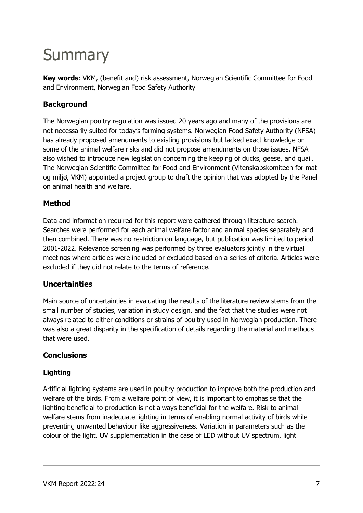# **Summary**

Key words: VKM, (benefit and) risk assessment, Norwegian Scientific Committee for Food and Environment, Norwegian Food Safety Authority

#### Background

The Norwegian poultry regulation was issued 20 years ago and many of the provisions are not necessarily suited for today's farming systems. Norwegian Food Safety Authority (NFSA) has already proposed amendments to existing provisions but lacked exact knowledge on some of the animal welfare risks and did not propose amendments on those issues. NFSA also wished to introduce new legislation concerning the keeping of ducks, geese, and quail. The Norwegian Scientific Committee for Food and Environment (Vitenskapskomiteen for mat og miljø, VKM) appointed a project group to draft the opinion that was adopted by the Panel on animal health and welfare.

#### Method

Data and information required for this report were gathered through literature search. Searches were performed for each animal welfare factor and animal species separately and then combined. There was no restriction on language, but publication was limited to period 2001-2022. Relevance screening was performed by three evaluators jointly in the virtual meetings where articles were included or excluded based on a series of criteria. Articles were excluded if they did not relate to the terms of reference.

#### Uncertainties

Main source of uncertainties in evaluating the results of the literature review stems from the small number of studies, variation in study design, and the fact that the studies were not always related to either conditions or strains of poultry used in Norwegian production. There was also a great disparity in the specification of details regarding the material and methods that were used.

#### **Conclusions**

#### Lighting

Artificial lighting systems are used in poultry production to improve both the production and welfare of the birds. From a welfare point of view, it is important to emphasise that the lighting beneficial to production is not always beneficial for the welfare. Risk to animal welfare stems from inadequate lighting in terms of enabling normal activity of birds while preventing unwanted behaviour like aggressiveness. Variation in parameters such as the colour of the light, UV supplementation in the case of LED without UV spectrum, light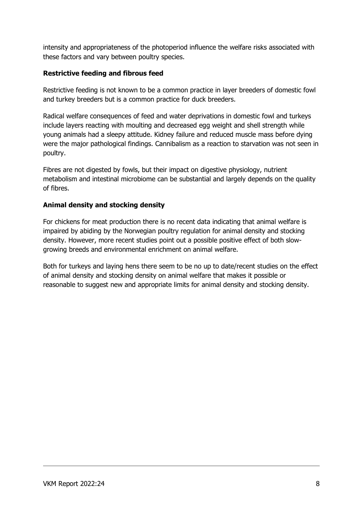intensity and appropriateness of the photoperiod influence the welfare risks associated with these factors and vary between poultry species.

#### Restrictive feeding and fibrous feed

Restrictive feeding is not known to be a common practice in layer breeders of domestic fowl and turkey breeders but is a common practice for duck breeders.

Radical welfare consequences of feed and water deprivations in domestic fowl and turkeys include layers reacting with moulting and decreased egg weight and shell strength while young animals had a sleepy attitude. Kidney failure and reduced muscle mass before dying were the major pathological findings. Cannibalism as a reaction to starvation was not seen in poultry.

Fibres are not digested by fowls, but their impact on digestive physiology, nutrient metabolism and intestinal microbiome can be substantial and largely depends on the quality of fibres.

#### Animal density and stocking density

For chickens for meat production there is no recent data indicating that animal welfare is impaired by abiding by the Norwegian poultry regulation for animal density and stocking density. However, more recent studies point out a possible positive effect of both slowgrowing breeds and environmental enrichment on animal welfare.

Both for turkeys and laying hens there seem to be no up to date/recent studies on the effect of animal density and stocking density on animal welfare that makes it possible or reasonable to suggest new and appropriate limits for animal density and stocking density.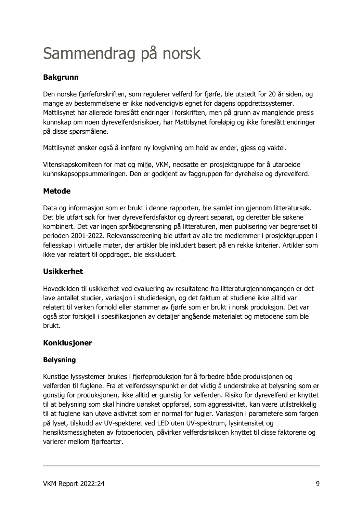# Sammendrag på norsk

## Bakgrunn

Den norske fjørfeforskriften, som regulerer velferd for fjørfe, ble utstedt for 20 år siden, og mange av bestemmelsene er ikke nødvendigvis egnet for dagens oppdrettssystemer. Mattilsynet har allerede foreslått endringer i forskriften, men på grunn av manglende presis kunnskap om noen dyrevelferdsrisikoer, har Mattilsynet foreløpig og ikke foreslått endringer på disse spørsmålene.

Mattilsynet ønsker også å innføre ny lovgivning om hold av ender, gjess og vaktel.

Vitenskapskomiteen for mat og miljø, VKM, nedsatte en prosjektgruppe for å utarbeide kunnskapsoppsummeringen. Den er godkjent av faggruppen for dyrehelse og dyrevelferd.

#### Metode

Data og informasjon som er brukt i denne rapporten, ble samlet inn gjennom litteratursøk. Det ble utført søk for hver dyrevelferdsfaktor og dyreart separat, og deretter ble søkene kombinert. Det var ingen språkbegrensning på litteraturen, men publisering var begrenset til perioden 2001-2022. Relevansscreening ble utført av alle tre medlemmer i prosjektgruppen i fellesskap i virtuelle møter, der artikler ble inkludert basert på en rekke kriterier. Artikler som ikke var relatert til oppdraget, ble ekskludert.

#### Usikkerhet

Hovedkilden til usikkerhet ved evaluering av resultatene fra litteraturgjennomgangen er det lave antallet studier, variasjon i studiedesign, og det faktum at studiene ikke alltid var relatert til verken forhold eller stammer av fjørfe som er brukt i norsk produksjon. Det var også stor forskjell i spesifikasjonen av detaljer angående materialet og metodene som ble brukt.

#### Konklusjoner

#### Belysning

Kunstige lyssystemer brukes i fjørfeproduksjon for å forbedre både produksjonen og velferden til fuglene. Fra et velferdssynspunkt er det viktig å understreke at belysning som er gunstig for produksjonen, ikke alltid er gunstig for velferden. Risiko for dyrevelferd er knyttet til at belysning som skal hindre uønsket oppførsel, som aggressivitet, kan være utilstrekkelig til at fuglene kan utøve aktivitet som er normal for fugler. Variasjon i parametere som fargen på lyset, tilskudd av UV-spekteret ved LED uten UV-spektrum, lysintensitet og hensiktsmessigheten av fotoperioden, påvirker velferdsrisikoen knyttet til disse faktorene og varierer mellom fjørfearter.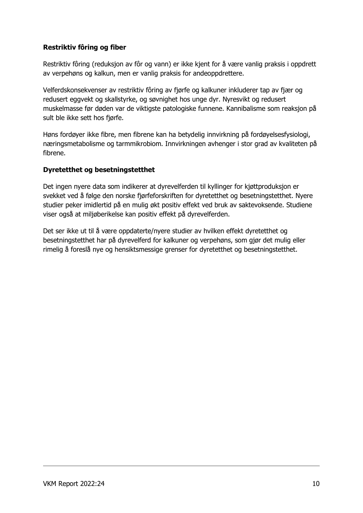#### Restriktiv fôring og fiber

Restriktiv fôring (reduksjon av fôr og vann) er ikke kjent for å være vanlig praksis i oppdrett av verpehøns og kalkun, men er vanlig praksis for andeoppdrettere.

Velferdskonsekvenser av restriktiv fôring av fjørfe og kalkuner inkluderer tap av fjær og redusert eggvekt og skallstyrke, og søvnighet hos unge dyr. Nyresvikt og redusert muskelmasse før døden var de viktigste patologiske funnene. Kannibalisme som reaksjon på sult ble ikke sett hos fjørfe.

Høns fordøyer ikke fibre, men fibrene kan ha betydelig innvirkning på fordøyelsesfysiologi, næringsmetabolisme og tarmmikrobiom. Innvirkningen avhenger i stor grad av kvaliteten på fibrene.

#### Dyretetthet og besetningstetthet

Det ingen nyere data som indikerer at dyrevelferden til kyllinger for kjøttproduksjon er svekket ved å følge den norske fjørfeforskriften for dyretetthet og besetningstetthet. Nyere studier peker imidlertid på en mulig økt positiv effekt ved bruk av saktevoksende. Studiene viser også at miljøberikelse kan positiv effekt på dyrevelferden.

Det ser ikke ut til å være oppdaterte/nyere studier av hvilken effekt dyretetthet og besetningstetthet har på dyrevelferd for kalkuner og verpehøns, som gjør det mulig eller rimelig å foreslå nye og hensiktsmessige grenser for dyretetthet og besetningstetthet.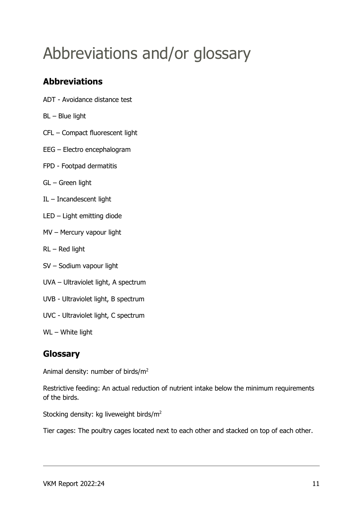# Abbreviations and/or glossary

## Abbreviations

- ADT Avoidance distance test
- BL Blue light
- CFL Compact fluorescent light
- EEG Electro encephalogram
- FPD Footpad dermatitis
- GL Green light
- IL Incandescent light
- LED Light emitting diode
- MV Mercury vapour light
- RL Red light
- SV Sodium vapour light
- UVA Ultraviolet light, A spectrum
- UVB Ultraviolet light, B spectrum
- UVC Ultraviolet light, C spectrum
- WL White light

## Glossary

Animal density: number of birds/m<sup>2</sup>

Restrictive feeding: An actual reduction of nutrient intake below the minimum requirements of the birds.

Stocking density: kg liveweight birds/m<sup>2</sup>

Tier cages: The poultry cages located next to each other and stacked on top of each other.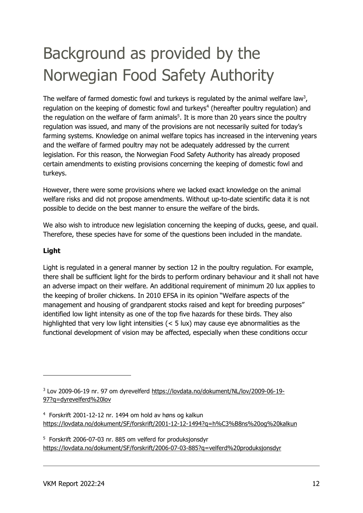# Background as provided by the Norwegian Food Safety Authority

The welfare of farmed domestic fowl and turkeys is regulated by the animal welfare law<sup>3</sup>, regulation on the keeping of domestic fowl and turkeys<sup>4</sup> (hereafter poultry regulation) and the regulation on the welfare of farm animals<sup>5</sup>. It is more than 20 years since the poultry regulation was issued, and many of the provisions are not necessarily suited for today's farming systems. Knowledge on animal welfare topics has increased in the intervening years and the welfare of farmed poultry may not be adequately addressed by the current legislation. For this reason, the Norwegian Food Safety Authority has already proposed certain amendments to existing provisions concerning the keeping of domestic fowl and turkeys.

However, there were some provisions where we lacked exact knowledge on the animal welfare risks and did not propose amendments. Without up-to-date scientific data it is not possible to decide on the best manner to ensure the welfare of the birds.

We also wish to introduce new legislation concerning the keeping of ducks, geese, and quail. Therefore, these species have for some of the questions been included in the mandate.

#### Light

Light is regulated in a general manner by section 12 in the poultry regulation. For example, there shall be sufficient light for the birds to perform ordinary behaviour and it shall not have an adverse impact on their welfare. An additional requirement of minimum 20 lux applies to the keeping of broiler chickens. In 2010 EFSA in its opinion "Welfare aspects of the management and housing of grandparent stocks raised and kept for breeding purposes" identified low light intensity as one of the top five hazards for these birds. They also highlighted that very low light intensities (< 5 lux) may cause eye abnormalities as the functional development of vision may be affected, especially when these conditions occur

<sup>&</sup>lt;sup>3</sup> Lov 2009-06-19 nr. 97 om dyrevelferd https://lovdata.no/dokument/NL/lov/2009-06-19-97?q=dyrevelferd%20lov

<sup>4</sup> Forskrift 2001-12-12 nr. 1494 om hold av høns og kalkun https://lovdata.no/dokument/SF/forskrift/2001-12-12-1494?q=h%C3%B8ns%20og%20kalkun

<sup>5</sup> Forskrift 2006-07-03 nr. 885 om velferd for produksjonsdyr https://lovdata.no/dokument/SF/forskrift/2006-07-03-885?q=velferd%20produksjonsdyr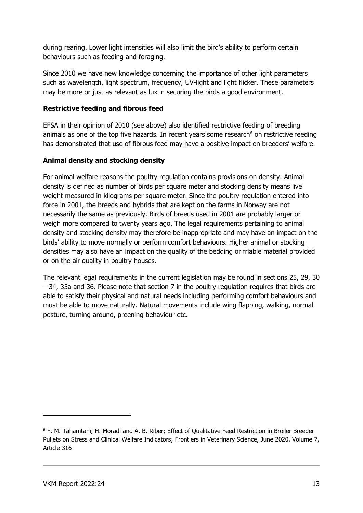during rearing. Lower light intensities will also limit the bird's ability to perform certain behaviours such as feeding and foraging.

Since 2010 we have new knowledge concerning the importance of other light parameters such as wavelength, light spectrum, frequency, UV-light and light flicker. These parameters may be more or just as relevant as lux in securing the birds a good environment.

#### Restrictive feeding and fibrous feed

EFSA in their opinion of 2010 (see above) also identified restrictive feeding of breeding animals as one of the top five hazards. In recent years some research<sup>6</sup> on restrictive feeding has demonstrated that use of fibrous feed may have a positive impact on breeders' welfare.

#### Animal density and stocking density

For animal welfare reasons the poultry regulation contains provisions on density. Animal density is defined as number of birds per square meter and stocking density means live weight measured in kilograms per square meter. Since the poultry regulation entered into force in 2001, the breeds and hybrids that are kept on the farms in Norway are not necessarily the same as previously. Birds of breeds used in 2001 are probably larger or weigh more compared to twenty years ago. The legal requirements pertaining to animal density and stocking density may therefore be inappropriate and may have an impact on the birds' ability to move normally or perform comfort behaviours. Higher animal or stocking densities may also have an impact on the quality of the bedding or friable material provided or on the air quality in poultry houses.

The relevant legal requirements in the current legislation may be found in sections 25, 29, 30 – 34, 35a and 36. Please note that section 7 in the poultry regulation requires that birds are able to satisfy their physical and natural needs including performing comfort behaviours and must be able to move naturally. Natural movements include wing flapping, walking, normal posture, turning around, preening behaviour etc.

<sup>6</sup> F. M. Tahamtani, H. Moradi and A. B. Riber; Effect of Qualitative Feed Restriction in Broiler Breeder Pullets on Stress and Clinical Welfare Indicators; Frontiers in Veterinary Science, June 2020, Volume 7, Article 316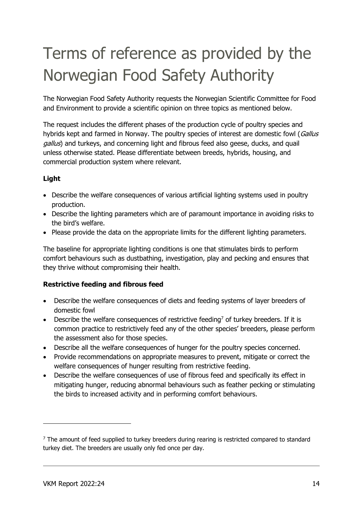# Terms of reference as provided by the Norwegian Food Safety Authority

The Norwegian Food Safety Authority requests the Norwegian Scientific Committee for Food and Environment to provide a scientific opinion on three topics as mentioned below.

The request includes the different phases of the production cycle of poultry species and hybrids kept and farmed in Norway. The poultry species of interest are domestic fowl (Gallus gallus) and turkeys, and concerning light and fibrous feed also geese, ducks, and quail unless otherwise stated. Please differentiate between breeds, hybrids, housing, and commercial production system where relevant.

#### Light

- Describe the welfare consequences of various artificial lighting systems used in poultry production.
- Describe the lighting parameters which are of paramount importance in avoiding risks to the bird's welfare.
- Please provide the data on the appropriate limits for the different lighting parameters.

The baseline for appropriate lighting conditions is one that stimulates birds to perform comfort behaviours such as dustbathing, investigation, play and pecking and ensures that they thrive without compromising their health.

#### Restrictive feeding and fibrous feed

- Describe the welfare consequences of diets and feeding systems of layer breeders of domestic fowl
- **•** Describe the welfare consequences of restrictive feeding<sup>7</sup> of turkey breeders. If it is common practice to restrictively feed any of the other species' breeders, please perform the assessment also for those species.
- Describe all the welfare consequences of hunger for the poultry species concerned.
- Provide recommendations on appropriate measures to prevent, mitigate or correct the welfare consequences of hunger resulting from restrictive feeding.
- Describe the welfare consequences of use of fibrous feed and specifically its effect in mitigating hunger, reducing abnormal behaviours such as feather pecking or stimulating the birds to increased activity and in performing comfort behaviours.

 $<sup>7</sup>$  The amount of feed supplied to turkey breeders during rearing is restricted compared to standard</sup> turkey diet. The breeders are usually only fed once per day.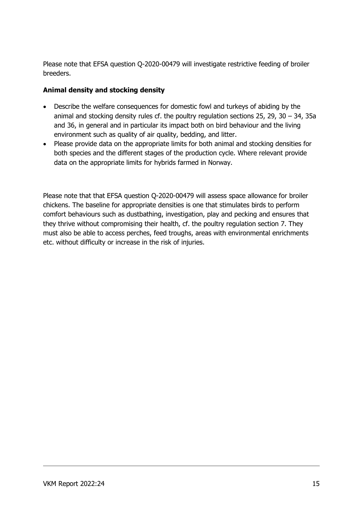Please note that EFSA question Q-2020-00479 will investigate restrictive feeding of broiler breeders.

#### Animal density and stocking density

- Describe the welfare consequences for domestic fowl and turkeys of abiding by the animal and stocking density rules cf. the poultry regulation sections 25, 29, 30 – 34, 35a and 36, in general and in particular its impact both on bird behaviour and the living environment such as quality of air quality, bedding, and litter.
- Please provide data on the appropriate limits for both animal and stocking densities for both species and the different stages of the production cycle. Where relevant provide data on the appropriate limits for hybrids farmed in Norway.

Please note that that EFSA question Q-2020-00479 will assess space allowance for broiler chickens. The baseline for appropriate densities is one that stimulates birds to perform comfort behaviours such as dustbathing, investigation, play and pecking and ensures that they thrive without compromising their health, cf. the poultry regulation section 7. They must also be able to access perches, feed troughs, areas with environmental enrichments etc. without difficulty or increase in the risk of injuries.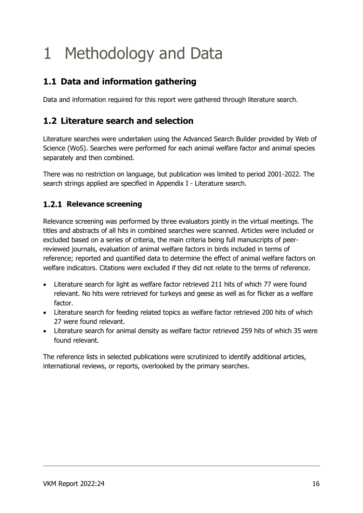# 1 Methodology and Data

## 1.1 Data and information gathering

Data and information required for this report were gathered through literature search.

## 1.2 Literature search and selection

Literature searches were undertaken using the Advanced Search Builder provided by Web of Science (WoS). Searches were performed for each animal welfare factor and animal species separately and then combined.

There was no restriction on language, but publication was limited to period 2001-2022. The search strings applied are specified in Appendix I - Literature search.

### 1.2.1 Relevance screening

Relevance screening was performed by three evaluators jointly in the virtual meetings. The titles and abstracts of all hits in combined searches were scanned. Articles were included or excluded based on a series of criteria, the main criteria being full manuscripts of peerreviewed journals, evaluation of animal welfare factors in birds included in terms of reference; reported and quantified data to determine the effect of animal welfare factors on welfare indicators. Citations were excluded if they did not relate to the terms of reference.

- Literature search for light as welfare factor retrieved 211 hits of which 77 were found relevant. No hits were retrieved for turkeys and geese as well as for flicker as a welfare factor.
- Literature search for feeding related topics as welfare factor retrieved 200 hits of which 27 were found relevant.
- Literature search for animal density as welfare factor retrieved 259 hits of which 35 were found relevant.

The reference lists in selected publications were scrutinized to identify additional articles, international reviews, or reports, overlooked by the primary searches.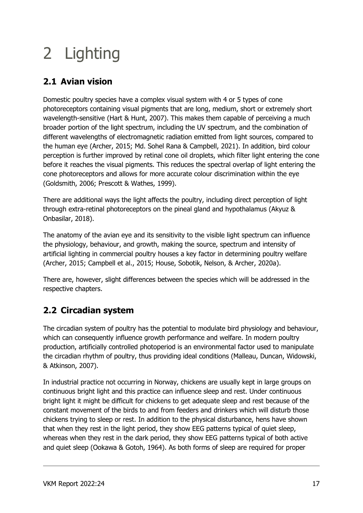# 2 Lighting

# 2.1 Avian vision

Domestic poultry species have a complex visual system with 4 or 5 types of cone photoreceptors containing visual pigments that are long, medium, short or extremely short wavelength-sensitive (Hart & Hunt, 2007). This makes them capable of perceiving a much broader portion of the light spectrum, including the UV spectrum, and the combination of different wavelengths of electromagnetic radiation emitted from light sources, compared to the human eye (Archer, 2015; Md. Sohel Rana & Campbell, 2021). In addition, bird colour perception is further improved by retinal cone oil droplets, which filter light entering the cone before it reaches the visual pigments. This reduces the spectral overlap of light entering the cone photoreceptors and allows for more accurate colour discrimination within the eye (Goldsmith, 2006; Prescott & Wathes, 1999).

There are additional ways the light affects the poultry, including direct perception of light through extra-retinal photoreceptors on the pineal gland and hypothalamus (Akyuz & Onbasilar, 2018).

The anatomy of the avian eye and its sensitivity to the visible light spectrum can influence the physiology, behaviour, and growth, making the source, spectrum and intensity of artificial lighting in commercial poultry houses a key factor in determining poultry welfare (Archer, 2015; Campbell et al., 2015; House, Sobotik, Nelson, & Archer, 2020a).

There are, however, slight differences between the species which will be addressed in the respective chapters.

# 2.2 Circadian system

The circadian system of poultry has the potential to modulate bird physiology and behaviour, which can consequently influence growth performance and welfare. In modern poultry production, artificially controlled photoperiod is an environmental factor used to manipulate the circadian rhythm of poultry, thus providing ideal conditions (Malleau, Duncan, Widowski, & Atkinson, 2007).

In industrial practice not occurring in Norway, chickens are usually kept in large groups on continuous bright light and this practice can influence sleep and rest. Under continuous bright light it might be difficult for chickens to get adequate sleep and rest because of the constant movement of the birds to and from feeders and drinkers which will disturb those chickens trying to sleep or rest. In addition to the physical disturbance, hens have shown that when they rest in the light period, they show EEG patterns typical of quiet sleep, whereas when they rest in the dark period, they show EEG patterns typical of both active and quiet sleep (Ookawa & Gotoh, 1964). As both forms of sleep are required for proper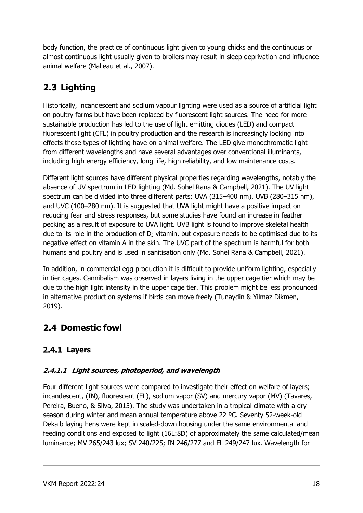body function, the practice of continuous light given to young chicks and the continuous or almost continuous light usually given to broilers may result in sleep deprivation and influence animal welfare (Malleau et al., 2007).

# 2.3 Lighting

Historically, incandescent and sodium vapour lighting were used as a source of artificial light on poultry farms but have been replaced by fluorescent light sources. The need for more sustainable production has led to the use of light emitting diodes (LED) and compact fluorescent light (CFL) in poultry production and the research is increasingly looking into effects those types of lighting have on animal welfare. The LED give monochromatic light from different wavelengths and have several advantages over conventional illuminants, including high energy efficiency, long life, high reliability, and low maintenance costs.

Different light sources have different physical properties regarding wavelengths, notably the absence of UV spectrum in LED lighting (Md. Sohel Rana & Campbell, 2021). The UV light spectrum can be divided into three different parts: UVA (315–400 nm), UVB (280–315 nm), and UVC (100–280 nm). It is suggested that UVA light might have a positive impact on reducing fear and stress responses, but some studies have found an increase in feather pecking as a result of exposure to UVA light. UVB light is found to improve skeletal health due to its role in the production of  $D_3$  vitamin, but exposure needs to be optimised due to its negative effect on vitamin A in the skin. The UVC part of the spectrum is harmful for both humans and poultry and is used in sanitisation only (Md. Sohel Rana & Campbell, 2021).

In addition, in commercial egg production it is difficult to provide uniform lighting, especially in tier cages. Cannibalism was observed in layers living in the upper cage tier which may be due to the high light intensity in the upper cage tier. This problem might be less pronounced in alternative production systems if birds can move freely (Tunaydin & Yilmaz Dikmen, 2019).

## 2.4 Domestic fowl

## 2.4.1 Layers

#### 2.4.1.1 Light sources, photoperiod, and wavelength

Four different light sources were compared to investigate their effect on welfare of layers; incandescent, (IN), fluorescent (FL), sodium vapor (SV) and mercury vapor (MV) (Tavares, Pereira, Bueno, & Silva, 2015). The study was undertaken in a tropical climate with a dry season during winter and mean annual temperature above 22 ºC. Seventy 52-week-old Dekalb laying hens were kept in scaled-down housing under the same environmental and feeding conditions and exposed to light (16L:8D) of approximately the same calculated/mean luminance; MV 265/243 lux; SV 240/225; IN 246/277 and FL 249/247 lux. Wavelength for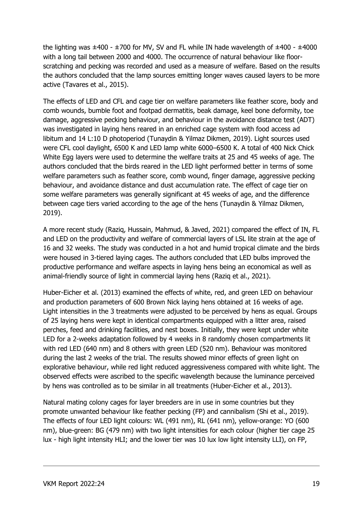the lighting was  $\pm 400$  -  $\pm 700$  for MV, SV and FL while IN hade wavelength of  $\pm 400$  -  $\pm 4000$ with a long tail between 2000 and 4000. The occurrence of natural behaviour like floorscratching and pecking was recorded and used as a measure of welfare. Based on the results the authors concluded that the lamp sources emitting longer waves caused layers to be more active (Tavares et al., 2015).

The effects of LED and CFL and cage tier on welfare parameters like feather score, body and comb wounds, bumble foot and footpad dermatitis, beak damage, keel bone deformity, toe damage, aggressive pecking behaviour, and behaviour in the avoidance distance test (ADT) was investigated in laying hens reared in an enriched cage system with food access ad libitum and 14 L:10 D photoperiod (Tunaydin & Yilmaz Dikmen, 2019). Light sources used were CFL cool daylight, 6500 K and LED lamp white 6000–6500 K. A total of 400 Nick Chick White Egg layers were used to determine the welfare traits at 25 and 45 weeks of age. The authors concluded that the birds reared in the LED light performed better in terms of some welfare parameters such as feather score, comb wound, finger damage, aggressive pecking behaviour, and avoidance distance and dust accumulation rate. The effect of cage tier on some welfare parameters was generally significant at 45 weeks of age, and the difference between cage tiers varied according to the age of the hens (Tunaydin & Yilmaz Dikmen, 2019).

A more recent study (Raziq, Hussain, Mahmud, & Javed, 2021) compared the effect of IN, FL and LED on the productivity and welfare of commercial layers of LSL lite strain at the age of 16 and 32 weeks. The study was conducted in a hot and humid tropical climate and the birds were housed in 3-tiered laying cages. The authors concluded that LED bulbs improved the productive performance and welfare aspects in laying hens being an economical as well as animal-friendly source of light in commercial laying hens (Raziq et al., 2021).

Huber-Eicher et al. (2013) examined the effects of white, red, and green LED on behaviour and production parameters of 600 Brown Nick laying hens obtained at 16 weeks of age. Light intensities in the 3 treatments were adjusted to be perceived by hens as equal. Groups of 25 laying hens were kept in identical compartments equipped with a litter area, raised perches, feed and drinking facilities, and nest boxes. Initially, they were kept under white LED for a 2-weeks adaptation followed by 4 weeks in 8 randomly chosen compartments lit with red LED (640 nm) and 8 others with green LED (520 nm). Behaviour was monitored during the last 2 weeks of the trial. The results showed minor effects of green light on explorative behaviour, while red light reduced aggressiveness compared with white light. The observed effects were ascribed to the specific wavelength because the luminance perceived by hens was controlled as to be similar in all treatments (Huber-Eicher et al., 2013).

Natural mating colony cages for layer breeders are in use in some countries but they promote unwanted behaviour like feather pecking (FP) and cannibalism (Shi et al., 2019). The effects of four LED light colours: WL (491 nm), RL (641 nm), yellow-orange: YO (600 nm), blue-green: BG (479 nm) with two light intensities for each colour (higher tier cage 25 lux - high light intensity HLI; and the lower tier was 10 lux low light intensity LLI), on FP,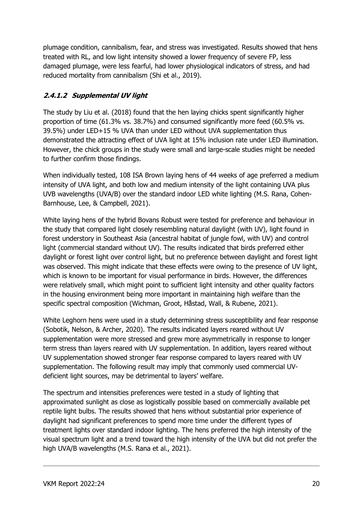plumage condition, cannibalism, fear, and stress was investigated. Results showed that hens treated with RL, and low light intensity showed a lower frequency of severe FP, less damaged plumage, were less fearful, had lower physiological indicators of stress, and had reduced mortality from cannibalism (Shi et al., 2019).

### 2.4.1.2 Supplemental UV light

The study by Liu et al. (2018) found that the hen laying chicks spent significantly higher proportion of time (61.3% vs. 38.7%) and consumed significantly more feed (60.5% vs. 39.5%) under LED+15 % UVA than under LED without UVA supplementation thus demonstrated the attracting effect of UVA light at 15% inclusion rate under LED illumination. However, the chick groups in the study were small and large-scale studies might be needed to further confirm those findings.

When individually tested, 108 ISA Brown laying hens of 44 weeks of age preferred a medium intensity of UVA light, and both low and medium intensity of the light containing UVA plus UVB wavelengths (UVA/B) over the standard indoor LED white lighting (M.S. Rana, Cohen-Barnhouse, Lee, & Campbell, 2021).

White laying hens of the hybrid Bovans Robust were tested for preference and behaviour in the study that compared light closely resembling natural daylight (with UV), light found in forest understory in Southeast Asia (ancestral habitat of jungle fowl, with UV) and control light (commercial standard without UV). The results indicated that birds preferred either daylight or forest light over control light, but no preference between daylight and forest light was observed. This might indicate that these effects were owing to the presence of UV light, which is known to be important for visual performance in birds. However, the differences were relatively small, which might point to sufficient light intensity and other quality factors in the housing environment being more important in maintaining high welfare than the specific spectral composition (Wichman, Groot, Håstad, Wall, & Rubene, 2021).

White Leghorn hens were used in a study determining stress susceptibility and fear response (Sobotik, Nelson, & Archer, 2020). The results indicated layers reared without UV supplementation were more stressed and grew more asymmetrically in response to longer term stress than layers reared with UV supplementation. In addition, layers reared without UV supplementation showed stronger fear response compared to layers reared with UV supplementation. The following result may imply that commonly used commercial UVdeficient light sources, may be detrimental to layers' welfare.

The spectrum and intensities preferences were tested in a study of lighting that approximated sunlight as close as logistically possible based on commercially available pet reptile light bulbs. The results showed that hens without substantial prior experience of daylight had significant preferences to spend more time under the different types of treatment lights over standard indoor lighting. The hens preferred the high intensity of the visual spectrum light and a trend toward the high intensity of the UVA but did not prefer the high UVA/B wavelengths (M.S. Rana et al., 2021).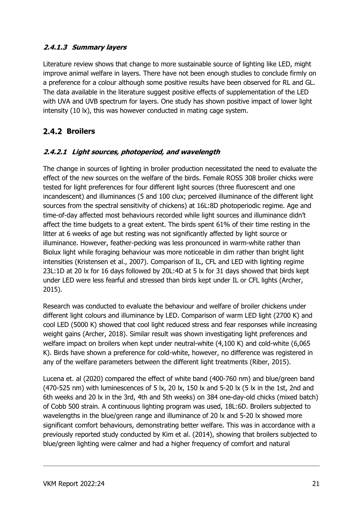#### 2.4.1.3 Summary layers

Literature review shows that change to more sustainable source of lighting like LED, might improve animal welfare in layers. There have not been enough studies to conclude firmly on a preference for a colour although some positive results have been observed for RL and GL. The data available in the literature suggest positive effects of supplementation of the LED with UVA and UVB spectrum for layers. One study has shown positive impact of lower light intensity (10 lx), this was however conducted in mating cage system.

## 2.4.2 Broilers

#### 2.4.2.1 Light sources, photoperiod, and wavelength

The change in sources of lighting in broiler production necessitated the need to evaluate the effect of the new sources on the welfare of the birds. Female ROSS 308 broiler chicks were tested for light preferences for four different light sources (three fluorescent and one incandescent) and illuminances (5 and 100 clux; perceived illuminance of the different light sources from the spectral sensitivity of chickens) at 16L:8D photoperiodic regime. Age and time-of-day affected most behaviours recorded while light sources and illuminance didn't affect the time budgets to a great extent. The birds spent 61% of their time resting in the litter at 6 weeks of age but resting was not significantly affected by light source or illuminance. However, feather-pecking was less pronounced in warm-white rather than Biolux light while foraging behaviour was more noticeable in dim rather than bright light intensities (Kristensen et al., 2007). Comparison of IL, CFL and LED with lighting regime 23L:1D at 20 lx for 16 days followed by 20L:4D at 5 lx for 31 days showed that birds kept under LED were less fearful and stressed than birds kept under IL or CFL lights (Archer, 2015).

Research was conducted to evaluate the behaviour and welfare of broiler chickens under different light colours and illuminance by LED. Comparison of warm LED light (2700 K) and cool LED (5000 K) showed that cool light reduced stress and fear responses while increasing weight gains (Archer, 2018). Similar result was shown investigating light preferences and welfare impact on broilers when kept under neutral-white (4,100 K) and cold-white (6,065 K). Birds have shown a preference for cold-white, however, no difference was registered in any of the welfare parameters between the different light treatments (Riber, 2015).

Lucena et. al (2020) compared the effect of white band (400-760 nm) and blue/green band (470-525 nm) with luminescences of 5 lx, 20 lx, 150 lx and 5-20 lx (5 lx in the 1st, 2nd and 6th weeks and 20 lx in the 3rd, 4th and 5th weeks) on 384 one-day-old chicks (mixed batch) of Cobb 500 strain. A continuous lighting program was used, 18L:6D. Broilers subjected to wavelengths in the blue/green range and illuminance of 20 lx and 5-20 lx showed more significant comfort behaviours, demonstrating better welfare. This was in accordance with a previously reported study conducted by Kim et al. (2014), showing that broilers subjected to blue/green lighting were calmer and had a higher frequency of comfort and natural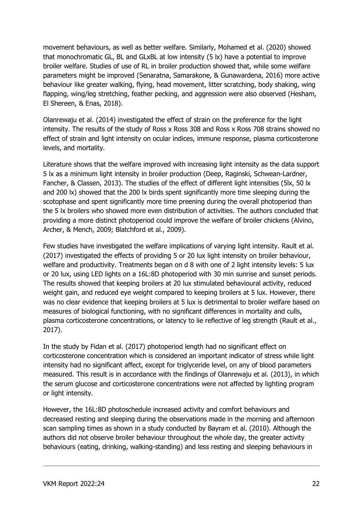movement behaviours, as well as better welfare. Similarly, Mohamed et al. (2020) showed that monochromatic GL, BL and GLxBL at low intensity (5 lx) have a potential to improve broiler welfare. Studies of use of RL in broiler production showed that, while some welfare parameters might be improved (Senaratna, Samarakone, & Gunawardena, 2016) more active behaviour like greater walking, flying, head movement, litter scratching, body shaking, wing flapping, wing/leg stretching, feather pecking, and aggression were also observed (Hesham, El Shereen, & Enas, 2018).

Olanrewaju et al. (2014) investigated the effect of strain on the preference for the light intensity. The results of the study of Ross x Ross 308 and Ross x Ross 708 strains showed no effect of strain and light intensity on ocular indices, immune response, plasma corticosterone levels, and mortality.

Literature shows that the welfare improved with increasing light intensity as the data support 5 lx as a minimum light intensity in broiler production (Deep, Raginski, Schwean-Lardner, Fancher, & Classen, 2013). The studies of the effect of different light intensities (5lx, 50 lx and 200 lx) showed that the 200 lx birds spent significantly more time sleeping during the scotophase and spent significantly more time preening during the overall photoperiod than the 5 lx broilers who showed more even distribution of activities. The authors concluded that providing a more distinct photoperiod could improve the welfare of broiler chickens (Alvino, Archer, & Mench, 2009; Blatchford et al., 2009).

Few studies have investigated the welfare implications of varying light intensity. Rault et al. (2017) investigated the effects of providing 5 or 20 lux light intensity on broiler behaviour, welfare and productivity. Treatments began on d 8 with one of 2 light intensity levels: 5 lux or 20 lux, using LED lights on a 16L:8D photoperiod with 30 min sunrise and sunset periods. The results showed that keeping broilers at 20 lux stimulated behavioural activity, reduced weight gain, and reduced eye weight compared to keeping broilers at 5 lux. However, there was no clear evidence that keeping broilers at 5 lux is detrimental to broiler welfare based on measures of biological functioning, with no significant differences in mortality and culls, plasma corticosterone concentrations, or latency to lie reflective of leg strength (Rault et al., 2017).

In the study by Fidan et al. (2017) photoperiod length had no significant effect on corticosterone concentration which is considered an important indicator of stress while light intensity had no significant affect, except for triglyceride level, on any of blood parameters measured. This result is in accordance with the findings of Olanrewaju et al. (2013), in which the serum glucose and corticosterone concentrations were not affected by lighting program or light intensity.

However, the 16L:8D photoschedule increased activity and comfort behaviours and decreased resting and sleeping during the observations made in the morning and afternoon scan sampling times as shown in a study conducted by Bayram et al. (2010). Although the authors did not observe broiler behaviour throughout the whole day, the greater activity behaviours (eating, drinking, walking-standing) and less resting and sleeping behaviours in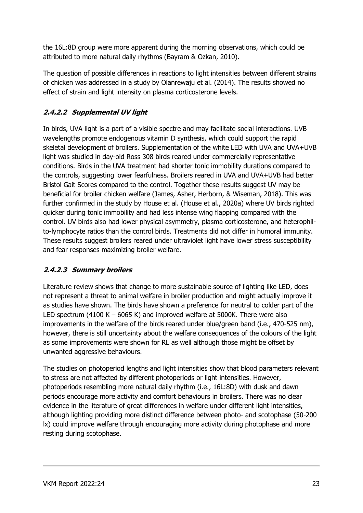the 16L:8D group were more apparent during the morning observations, which could be attributed to more natural daily rhythms (Bayram & Ozkan, 2010).

The question of possible differences in reactions to light intensities between different strains of chicken was addressed in a study by Olanrewaju et al. (2014). The results showed no effect of strain and light intensity on plasma corticosterone levels.

## 2.4.2.2 Supplemental UV light

In birds, UVA light is a part of a visible spectre and may facilitate social interactions. UVB wavelengths promote endogenous vitamin D synthesis, which could support the rapid skeletal development of broilers. Supplementation of the white LED with UVA and UVA+UVB light was studied in day-old Ross 308 birds reared under commercially representative conditions. Birds in the UVA treatment had shorter tonic immobility durations compared to the controls, suggesting lower fearfulness. Broilers reared in UVA and UVA+UVB had better Bristol Gait Scores compared to the control. Together these results suggest UV may be beneficial for broiler chicken welfare (James, Asher, Herborn, & Wiseman, 2018). This was further confirmed in the study by House et al. (House et al., 2020a) where UV birds righted quicker during tonic immobility and had less intense wing flapping compared with the control. UV birds also had lower physical asymmetry, plasma corticosterone, and heterophilto-lymphocyte ratios than the control birds. Treatments did not differ in humoral immunity. These results suggest broilers reared under ultraviolet light have lower stress susceptibility and fear responses maximizing broiler welfare.

#### 2.4.2.3 Summary broilers

Literature review shows that change to more sustainable source of lighting like LED, does not represent a threat to animal welfare in broiler production and might actually improve it as studies have shown. The birds have shown a preference for neutral to colder part of the LED spectrum (4100 K – 6065 K) and improved welfare at 5000K. There were also improvements in the welfare of the birds reared under blue/green band (i.e., 470-525 nm), however, there is still uncertainty about the welfare consequences of the colours of the light as some improvements were shown for RL as well although those might be offset by unwanted aggressive behaviours.

The studies on photoperiod lengths and light intensities show that blood parameters relevant to stress are not affected by different photoperiods or light intensities. However, photoperiods resembling more natural daily rhythm (i.e., 16L:8D) with dusk and dawn periods encourage more activity and comfort behaviours in broilers. There was no clear evidence in the literature of great differences in welfare under different light intensities, although lighting providing more distinct difference between photo- and scotophase (50-200 lx) could improve welfare through encouraging more activity during photophase and more resting during scotophase.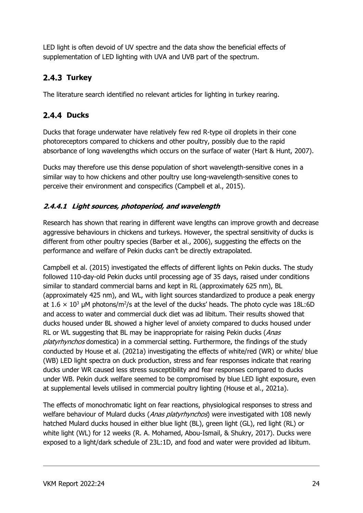LED light is often devoid of UV spectre and the data show the beneficial effects of supplementation of LED lighting with UVA and UVB part of the spectrum.

## 2.4.3 Turkey

The literature search identified no relevant articles for lighting in turkey rearing.

## 2.4.4 Ducks

Ducks that forage underwater have relatively few red R-type oil droplets in their cone photoreceptors compared to chickens and other poultry, possibly due to the rapid absorbance of long wavelengths which occurs on the surface of water (Hart & Hunt, 2007).

Ducks may therefore use this dense population of short wavelength-sensitive cones in a similar way to how chickens and other poultry use long-wavelength-sensitive cones to perceive their environment and conspecifics (Campbell et al., 2015).

## 2.4.4.1 Light sources, photoperiod, and wavelength

Research has shown that rearing in different wave lengths can improve growth and decrease aggressive behaviours in chickens and turkeys. However, the spectral sensitivity of ducks is different from other poultry species (Barber et al., 2006), suggesting the effects on the performance and welfare of Pekin ducks can't be directly extrapolated.

Campbell et al. (2015) investigated the effects of different lights on Pekin ducks. The study followed 110-day-old Pekin ducks until processing age of 35 days, raised under conditions similar to standard commercial barns and kept in RL (approximately 625 nm), BL (approximately 425 nm), and WL, with light sources standardized to produce a peak energy at 1.6  $\times$  10<sup>3</sup> µM photons/m<sup>2</sup>/s at the level of the ducks' heads. The photo cycle was 18L:6D and access to water and commercial duck diet was ad libitum. Their results showed that ducks housed under BL showed a higher level of anxiety compared to ducks housed under RL or WL suggesting that BL may be inappropriate for raising Pekin ducks (Anas platyrhynchos domestica) in a commercial setting. Furthermore, the findings of the study conducted by House et al. (2021a) investigating the effects of white/red (WR) or white/ blue (WB) LED light spectra on duck production, stress and fear responses indicate that rearing ducks under WR caused less stress susceptibility and fear responses compared to ducks under WB. Pekin duck welfare seemed to be compromised by blue LED light exposure, even at supplemental levels utilised in commercial poultry lighting (House et al., 2021a).

The effects of monochromatic light on fear reactions, physiological responses to stress and welfare behaviour of Mulard ducks (Anas platyrhynchos) were investigated with 108 newly hatched Mulard ducks housed in either blue light (BL), green light (GL), red light (RL) or white light (WL) for 12 weeks (R. A. Mohamed, Abou-Ismail, & Shukry, 2017). Ducks were exposed to a light/dark schedule of 23L:1D, and food and water were provided ad libitum.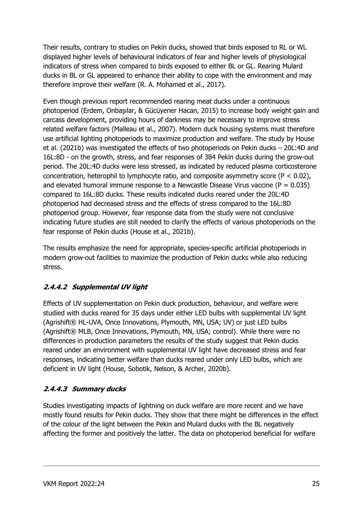Their results, contrary to studies on Pekin ducks, showed that birds exposed to RL or WL displayed higher levels of behavioural indicators of fear and higher levels of physiological indicators of stress when compared to birds exposed to either BL or GL. Rearing Mulard ducks in BL or GL appeared to enhance their ability to cope with the environment and may therefore improve their welfare (R. A. Mohamed et al., 2017).

Even though previous report recommended rearing meat ducks under a continuous photoperiod (Erdem, Onbaşılar, & Gücüyener Hacan, 2015) to increase body weight gain and carcass development, providing hours of darkness may be necessary to improve stress related welfare factors (Malleau et al., 2007). Modern duck housing systems must therefore use artificial lighting photoperiods to maximize production and welfare. The study by House et al. (2021b) was investigated the effects of two photoperiods on Pekin ducks – 20L:4D and 16L:8D - on the growth, stress, and fear responses of 384 Pekin ducks during the grow-out period. The 20L:4D ducks were less stressed, as indicated by reduced plasma corticosterone concentration, heterophil to lymphocyte ratio, and composite asymmetry score ( $P < 0.02$ ), and elevated humoral immune response to a Newcastle Disease Virus vaccine ( $P = 0.035$ ) compared to 16L:8D ducks. These results indicated ducks reared under the 20L:4D photoperiod had decreased stress and the effects of stress compared to the 16L:8D photoperiod group. However, fear response data from the study were not conclusive indicating future studies are still needed to clarify the effects of various photoperiods on the fear response of Pekin ducks (House et al., 2021b).

The results emphasize the need for appropriate, species-specific artificial photoperiods in modern grow-out facilities to maximize the production of Pekin ducks while also reducing stress.

## 2.4.4.2 Supplemental UV light

Effects of UV supplementation on Pekin duck production, behaviour, and welfare were studied with ducks reared for 35 days under either LED bulbs with supplemental UV light (Agrishift® HL-UVA, Once Innovations, Plymouth, MN, USA; UV) or just LED bulbs (Agrishift® MLB, Once Innovations, Plymouth, MN, USA; control). While there were no differences in production parameters the results of the study suggest that Pekin ducks reared under an environment with supplemental UV light have decreased stress and fear responses, indicating better welfare than ducks reared under only LED bulbs, which are deficient in UV light (House, Sobotik, Nelson, & Archer, 2020b).

#### 2.4.4.3 Summary ducks

Studies investigating impacts of lightning on duck welfare are more recent and we have mostly found results for Pekin ducks. They show that there might be differences in the effect of the colour of the light between the Pekin and Mulard ducks with the BL negatively affecting the former and positively the latter. The data on photoperiod beneficial for welfare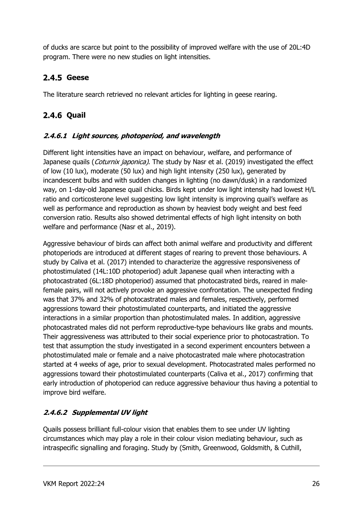of ducks are scarce but point to the possibility of improved welfare with the use of 20L:4D program. There were no new studies on light intensities.

## 2.4.5 Geese

The literature search retrieved no relevant articles for lighting in geese rearing.

## **2.4.6 Quail**

#### 2.4.6.1 Light sources, photoperiod, and wavelength

Different light intensities have an impact on behaviour, welfare, and performance of Japanese quails (*Coturnix japonica*). The study by Nasr et al. (2019) investigated the effect of low (10 lux), moderate (50 lux) and high light intensity (250 lux), generated by incandescent bulbs and with sudden changes in lighting (no dawn/dusk) in a randomized way, on 1-day-old Japanese quail chicks. Birds kept under low light intensity had lowest H/L ratio and corticosterone level suggesting low light intensity is improving quail's welfare as well as performance and reproduction as shown by heaviest body weight and best feed conversion ratio. Results also showed detrimental effects of high light intensity on both welfare and performance (Nasr et al., 2019).

Aggressive behaviour of birds can affect both animal welfare and productivity and different photoperiods are introduced at different stages of rearing to prevent those behaviours. A study by Caliva et al. (2017) intended to characterize the aggressive responsiveness of photostimulated (14L:10D photoperiod) adult Japanese quail when interacting with a photocastrated (6L:18D photoperiod) assumed that photocastrated birds, reared in malefemale pairs, will not actively provoke an aggressive confrontation. The unexpected finding was that 37% and 32% of photocastrated males and females, respectively, performed aggressions toward their photostimulated counterparts, and initiated the aggressive interactions in a similar proportion than photostimulated males. In addition, aggressive photocastrated males did not perform reproductive-type behaviours like grabs and mounts. Their aggressiveness was attributed to their social experience prior to photocastration. To test that assumption the study investigated in a second experiment encounters between a photostimulated male or female and a naive photocastrated male where photocastration started at 4 weeks of age, prior to sexual development. Photocastrated males performed no aggressions toward their photostimulated counterparts (Caliva et al., 2017) confirming that early introduction of photoperiod can reduce aggressive behaviour thus having a potential to improve bird welfare.

## 2.4.6.2 Supplemental UV light

Quails possess brilliant full-colour vision that enables them to see under UV lighting circumstances which may play a role in their colour vision mediating behaviour, such as intraspecific signalling and foraging. Study by (Smith, Greenwood, Goldsmith, & Cuthill,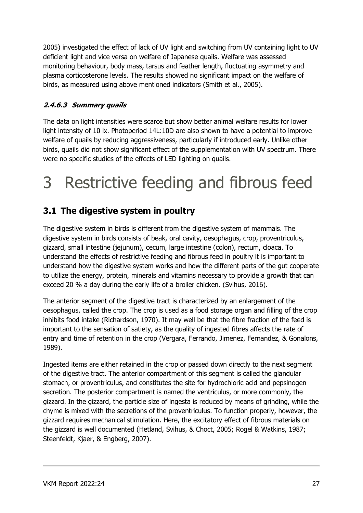2005) investigated the effect of lack of UV light and switching from UV containing light to UV deficient light and vice versa on welfare of Japanese quails. Welfare was assessed monitoring behaviour, body mass, tarsus and feather length, fluctuating asymmetry and plasma corticosterone levels. The results showed no significant impact on the welfare of birds, as measured using above mentioned indicators (Smith et al., 2005).

## 2.4.6.3 Summary quails

The data on light intensities were scarce but show better animal welfare results for lower light intensity of 10 lx. Photoperiod 14L:10D are also shown to have a potential to improve welfare of quails by reducing aggressiveness, particularly if introduced early. Unlike other birds, quails did not show significant effect of the supplementation with UV spectrum. There were no specific studies of the effects of LED lighting on quails.

# 3 Restrictive feeding and fibrous feed

# 3.1 The digestive system in poultry

The digestive system in birds is different from the digestive system of mammals. The digestive system in birds consists of beak, oral cavity, oesophagus, crop, proventriculus, gizzard, small intestine (jejunum), cecum, large intestine (colon), rectum, cloaca. To understand the effects of restrictive feeding and fibrous feed in poultry it is important to understand how the digestive system works and how the different parts of the gut cooperate to utilize the energy, protein, minerals and vitamins necessary to provide a growth that can exceed 20 % a day during the early life of a broiler chicken. (Svihus, 2016).

The anterior segment of the digestive tract is characterized by an enlargement of the oesophagus, called the crop. The crop is used as a food storage organ and filling of the crop inhibits food intake (Richardson, 1970). It may well be that the fibre fraction of the feed is important to the sensation of satiety, as the quality of ingested fibres affects the rate of entry and time of retention in the crop (Vergara, Ferrando, Jimenez, Fernandez, & Gonalons, 1989).

Ingested items are either retained in the crop or passed down directly to the next segment of the digestive tract. The anterior compartment of this segment is called the glandular stomach, or proventriculus, and constitutes the site for hydrochloric acid and pepsinogen secretion. The posterior compartment is named the ventriculus, or more commonly, the gizzard. In the gizzard, the particle size of ingesta is reduced by means of grinding, while the chyme is mixed with the secretions of the proventriculus. To function properly, however, the gizzard requires mechanical stimulation. Here, the excitatory effect of fibrous materials on the gizzard is well documented (Hetland, Svihus, & Choct, 2005; Rogel & Watkins, 1987; Steenfeldt, Kjaer, & Engberg, 2007).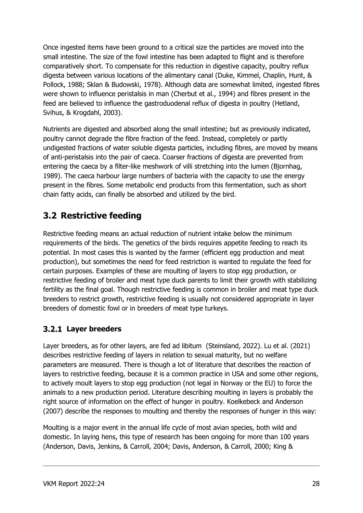Once ingested items have been ground to a critical size the particles are moved into the small intestine. The size of the fowl intestine has been adapted to flight and is therefore comparatively short. To compensate for this reduction in digestive capacity, poultry reflux digesta between various locations of the alimentary canal (Duke, Kimmel, Chaplin, Hunt, & Pollock, 1988; Sklan & Budowski, 1978). Although data are somewhat limited, ingested fibres were shown to influence peristalsis in man (Cherbut et al., 1994) and fibres present in the feed are believed to influence the gastroduodenal reflux of digesta in poultry (Hetland, Svihus, & Krogdahl, 2003).

Nutrients are digested and absorbed along the small intestine; but as previously indicated, poultry cannot degrade the fibre fraction of the feed. Instead, completely or partly undigested fractions of water soluble digesta particles, including fibres, are moved by means of anti-peristalsis into the pair of caeca. Coarser fractions of digesta are prevented from entering the caeca by a filter-like meshwork of villi stretching into the lumen (Bjornhag, 1989). The caeca harbour large numbers of bacteria with the capacity to use the energy present in the fibres. Some metabolic end products from this fermentation, such as short chain fatty acids, can finally be absorbed and utilized by the bird.

## 3.2 Restrictive feeding

Restrictive feeding means an actual reduction of nutrient intake below the minimum requirements of the birds. The genetics of the birds requires appetite feeding to reach its potential. In most cases this is wanted by the farmer (efficient egg production and meat production), but sometimes the need for feed restriction is wanted to regulate the feed for certain purposes. Examples of these are moulting of layers to stop egg production, or restrictive feeding of broiler and meat type duck parents to limit their growth with stabilizing fertility as the final goal. Though restrictive feeding is common in broiler and meat type duck breeders to restrict growth, restrictive feeding is usually not considered appropriate in layer breeders of domestic fowl or in breeders of meat type turkeys.

## 3.2.1 Layer breeders

Layer breeders, as for other layers, are fed ad libitum (Steinsland, 2022). Lu et al. (2021) describes restrictive feeding of layers in relation to sexual maturity, but no welfare parameters are measured. There is though a lot of literature that describes the reaction of layers to restrictive feeding, because it is a common practice in USA and some other regions, to actively moult layers to stop egg production (not legal in Norway or the EU) to force the animals to a new production period. Literature describing moulting in layers is probably the right source of information on the effect of hunger in poultry. Koelkebeck and Anderson (2007) describe the responses to moulting and thereby the responses of hunger in this way:

Moulting is a major event in the annual life cycle of most avian species, both wild and domestic. In laying hens, this type of research has been ongoing for more than 100 years (Anderson, Davis, Jenkins, & Carroll, 2004; Davis, Anderson, & Carroll, 2000; King &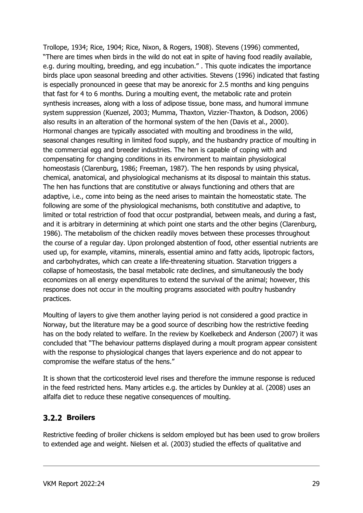Trollope, 1934; Rice, 1904; Rice, Nixon, & Rogers, 1908). Stevens (1996) commented, "There are times when birds in the wild do not eat in spite of having food readily available, e.g. during moulting, breeding, and egg incubation." . This quote indicates the importance birds place upon seasonal breeding and other activities. Stevens (1996) indicated that fasting is especially pronounced in geese that may be anorexic for 2.5 months and king penguins that fast for 4 to 6 months. During a moulting event, the metabolic rate and protein synthesis increases, along with a loss of adipose tissue, bone mass, and humoral immune system suppression (Kuenzel, 2003; Mumma, Thaxton, Vizzier-Thaxton, & Dodson, 2006) also results in an alteration of the hormonal system of the hen (Davis et al., 2000). Hormonal changes are typically associated with moulting and broodiness in the wild, seasonal changes resulting in limited food supply, and the husbandry practice of moulting in the commercial egg and breeder industries. The hen is capable of coping with and compensating for changing conditions in its environment to maintain physiological homeostasis (Clarenburg, 1986; Freeman, 1987). The hen responds by using physical, chemical, anatomical, and physiological mechanisms at its disposal to maintain this status. The hen has functions that are constitutive or always functioning and others that are adaptive, i.e., come into being as the need arises to maintain the homeostatic state. The following are some of the physiological mechanisms, both constitutive and adaptive, to limited or total restriction of food that occur postprandial, between meals, and during a fast, and it is arbitrary in determining at which point one starts and the other begins (Clarenburg, 1986). The metabolism of the chicken readily moves between these processes throughout the course of a regular day. Upon prolonged abstention of food, other essential nutrients are used up, for example, vitamins, minerals, essential amino and fatty acids, lipotropic factors, and carbohydrates, which can create a life-threatening situation. Starvation triggers a collapse of homeostasis, the basal metabolic rate declines, and simultaneously the body economizes on all energy expenditures to extend the survival of the animal; however, this response does not occur in the moulting programs associated with poultry husbandry practices.

Moulting of layers to give them another laying period is not considered a good practice in Norway, but the literature may be a good source of describing how the restrictive feeding has on the body related to welfare. In the review by Koelkebeck and Anderson (2007) it was concluded that "The behaviour patterns displayed during a moult program appear consistent with the response to physiological changes that layers experience and do not appear to compromise the welfare status of the hens."

It is shown that the corticosteroid level rises and therefore the immune response is reduced in the feed restricted hens. Many articles e.g. the articles by Dunkley at al. (2008) uses an alfalfa diet to reduce these negative consequences of moulting.

#### 3.2.2 Broilers

Restrictive feeding of broiler chickens is seldom employed but has been used to grow broilers to extended age and weight. Nielsen et al. (2003) studied the effects of qualitative and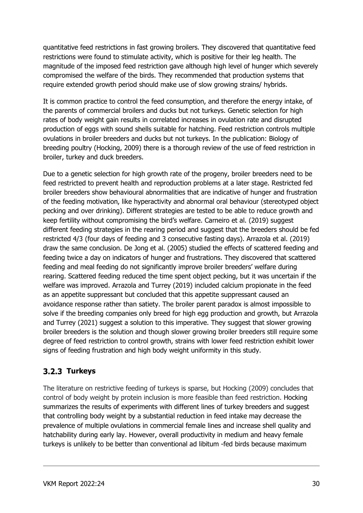quantitative feed restrictions in fast growing broilers. They discovered that quantitative feed restrictions were found to stimulate activity, which is positive for their leg health. The magnitude of the imposed feed restriction gave although high level of hunger which severely compromised the welfare of the birds. They recommended that production systems that require extended growth period should make use of slow growing strains/ hybrids.

It is common practice to control the feed consumption, and therefore the energy intake, of the parents of commercial broilers and ducks but not turkeys. Genetic selection for high rates of body weight gain results in correlated increases in ovulation rate and disrupted production of eggs with sound shells suitable for hatching. Feed restriction controls multiple ovulations in broiler breeders and ducks but not turkeys. In the publication: Biology of breeding poultry (Hocking, 2009) there is a thorough review of the use of feed restriction in broiler, turkey and duck breeders.

Due to a genetic selection for high growth rate of the progeny, broiler breeders need to be feed restricted to prevent health and reproduction problems at a later stage. Restricted fed broiler breeders show behavioural abnormalities that are indicative of hunger and frustration of the feeding motivation, like hyperactivity and abnormal oral behaviour (stereotyped object pecking and over drinking). Different strategies are tested to be able to reduce growth and keep fertility without compromising the bird's welfare. Carneiro et al. (2019) suggest different feeding strategies in the rearing period and suggest that the breeders should be fed restricted 4/3 (four days of feeding and 3 consecutive fasting days). Arrazola et al. (2019) draw the same conclusion. De Jong et al. (2005) studied the effects of scattered feeding and feeding twice a day on indicators of hunger and frustrations. They discovered that scattered feeding and meal feeding do not significantly improve broiler breeders' welfare during rearing. Scattered feeding reduced the time spent object pecking, but it was uncertain if the welfare was improved. Arrazola and Turrey (2019) included calcium propionate in the feed as an appetite suppressant but concluded that this appetite suppressant caused an avoidance response rather than satiety. The broiler parent paradox is almost impossible to solve if the breeding companies only breed for high egg production and growth, but Arrazola and Turrey (2021) suggest a solution to this imperative. They suggest that slower growing broiler breeders is the solution and though slower growing broiler breeders still require some degree of feed restriction to control growth, strains with lower feed restriction exhibit lower signs of feeding frustration and high body weight uniformity in this study.

## 3.2.3 Turkeys

The literature on restrictive feeding of turkeys is sparse, but Hocking (2009) concludes that control of body weight by protein inclusion is more feasible than feed restriction. Hocking summarizes the results of experiments with different lines of turkey breeders and suggest that controlling body weight by a substantial reduction in feed intake may decrease the prevalence of multiple ovulations in commercial female lines and increase shell quality and hatchability during early lay. However, overall productivity in medium and heavy female turkeys is unlikely to be better than conventional ad libitum -fed birds because maximum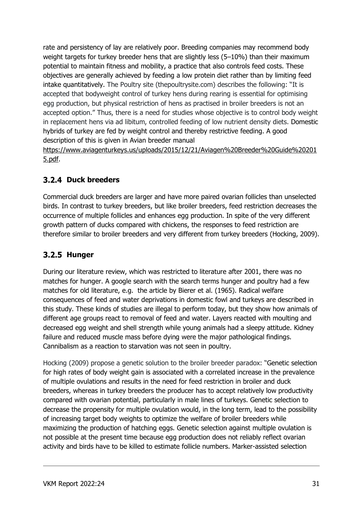rate and persistency of lay are relatively poor. Breeding companies may recommend body weight targets for turkey breeder hens that are slightly less (5-10%) than their maximum potential to maintain fitness and mobility, a practice that also controls feed costs. These objectives are generally achieved by feeding a low protein diet rather than by limiting feed intake quantitatively. The Poultry site (thepoultrysite.com) describes the following: "It is accepted that bodyweight control of turkey hens during rearing is essential for optimising egg production, but physical restriction of hens as practised in broiler breeders is not an accepted option." Thus, there is a need for studies whose objective is to control body weight in replacement hens via ad libitum, controlled feeding of low nutrient density diets. Domestic hybrids of turkey are fed by weight control and thereby restrictive feeding. A good description of this is given in Avian breeder manual

https://www.aviagenturkeys.us/uploads/2015/12/21/Aviagen%20Breeder%20Guide%20201 5.pdf.

## 3.2.4 Duck breeders

Commercial duck breeders are larger and have more paired ovarian follicles than unselected birds. In contrast to turkey breeders, but like broiler breeders, feed restriction decreases the occurrence of multiple follicles and enhances egg production. In spite of the very different growth pattern of ducks compared with chickens, the responses to feed restriction are therefore similar to broiler breeders and very different from turkey breeders (Hocking, 2009).

## 3.2.5 Hunger

During our literature review, which was restricted to literature after 2001, there was no matches for hunger. A google search with the search terms hunger and poultry had a few matches for old literature, e.g. the article by Bierer et al. (1965). Radical welfare consequences of feed and water deprivations in domestic fowl and turkeys are described in this study. These kinds of studies are illegal to perform today, but they show how animals of different age groups react to removal of feed and water. Layers reacted with moulting and decreased egg weight and shell strength while young animals had a sleepy attitude. Kidney failure and reduced muscle mass before dying were the major pathological findings. Cannibalism as a reaction to starvation was not seen in poultry.

Hocking (2009) propose a genetic solution to the broiler breeder paradox: "Genetic selection for high rates of body weight gain is associated with a correlated increase in the prevalence of multiple ovulations and results in the need for feed restriction in broiler and duck breeders, whereas in turkey breeders the producer has to accept relatively low productivity compared with ovarian potential, particularly in male lines of turkeys. Genetic selection to decrease the propensity for multiple ovulation would, in the long term, lead to the possibility of increasing target body weights to optimize the welfare of broiler breeders while maximizing the production of hatching eggs. Genetic selection against multiple ovulation is not possible at the present time because egg production does not reliably reflect ovarian activity and birds have to be killed to estimate follicle numbers. Marker-assisted selection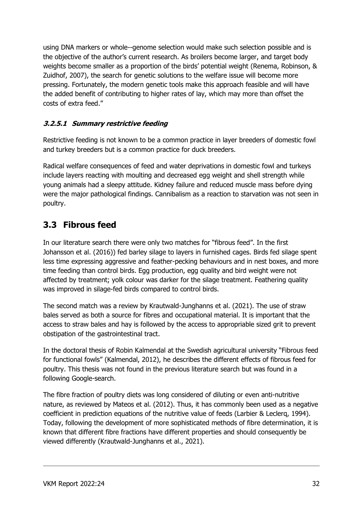using DNA markers or whole--genome selection would make such selection possible and is the objective of the author's current research. As broilers become larger, and target body weights become smaller as a proportion of the birds' potential weight (Renema, Robinson, & Zuidhof, 2007), the search for genetic solutions to the welfare issue will become more pressing. Fortunately, the modern genetic tools make this approach feasible and will have the added benefit of contributing to higher rates of lay, which may more than offset the costs of extra feed."

#### 3.2.5.1 Summary restrictive feeding

Restrictive feeding is not known to be a common practice in layer breeders of domestic fowl and turkey breeders but is a common practice for duck breeders.

Radical welfare consequences of feed and water deprivations in domestic fowl and turkeys include layers reacting with moulting and decreased egg weight and shell strength while young animals had a sleepy attitude. Kidney failure and reduced muscle mass before dying were the major pathological findings. Cannibalism as a reaction to starvation was not seen in poultry.

## 3.3 Fibrous feed

In our literature search there were only two matches for "fibrous feed". In the first Johansson et al. (2016)) fed barley silage to layers in furnished cages. Birds fed silage spent less time expressing aggressive and feather-pecking behaviours and in nest boxes, and more time feeding than control birds. Egg production, egg quality and bird weight were not affected by treatment; yolk colour was darker for the silage treatment. Feathering quality was improved in silage-fed birds compared to control birds.

The second match was a review by Krautwald-Junghanns et al. (2021). The use of straw bales served as both a source for fibres and occupational material. It is important that the access to straw bales and hay is followed by the access to appropriable sized grit to prevent obstipation of the gastrointestinal tract.

In the doctoral thesis of Robin Kalmendal at the Swedish agricultural university "Fibrous feed for functional fowls" (Kalmendal, 2012), he describes the different effects of fibrous feed for poultry. This thesis was not found in the previous literature search but was found in a following Google-search.

The fibre fraction of poultry diets was long considered of diluting or even anti-nutritive nature, as reviewed by Mateos et al. (2012). Thus, it has commonly been used as a negative coefficient in prediction equations of the nutritive value of feeds (Larbier & Leclerq, 1994). Today, following the development of more sophisticated methods of fibre determination, it is known that different fibre fractions have different properties and should consequently be viewed differently (Krautwald-Junghanns et al., 2021).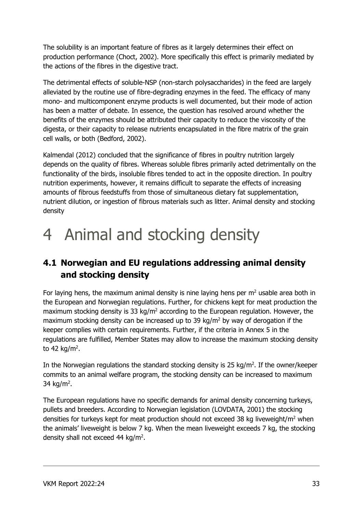The solubility is an important feature of fibres as it largely determines their effect on production performance (Choct, 2002). More specifically this effect is primarily mediated by the actions of the fibres in the digestive tract.

The detrimental effects of soluble-NSP (non-starch polysaccharides) in the feed are largely alleviated by the routine use of fibre-degrading enzymes in the feed. The efficacy of many mono- and multicomponent enzyme products is well documented, but their mode of action has been a matter of debate. In essence, the question has resolved around whether the benefits of the enzymes should be attributed their capacity to reduce the viscosity of the digesta, or their capacity to release nutrients encapsulated in the fibre matrix of the grain cell walls, or both (Bedford, 2002).

Kalmendal (2012) concluded that the significance of fibres in poultry nutrition largely depends on the quality of fibres. Whereas soluble fibres primarily acted detrimentally on the functionality of the birds, insoluble fibres tended to act in the opposite direction. In poultry nutrition experiments, however, it remains difficult to separate the effects of increasing amounts of fibrous feedstuffs from those of simultaneous dietary fat supplementation, nutrient dilution, or ingestion of fibrous materials such as litter. Animal density and stocking density

# 4 Animal and stocking density

# 4.1 Norwegian and EU regulations addressing animal density and stocking density

For laying hens, the maximum animal density is nine laying hens per  $m<sup>2</sup>$  usable area both in the European and Norwegian regulations. Further, for chickens kept for meat production the maximum stocking density is 33 kg/m<sup>2</sup> according to the European regulation. However, the maximum stocking density can be increased up to 39  $\text{kg/m}^2$  by way of derogation if the keeper complies with certain requirements. Further, if the criteria in Annex 5 in the regulations are fulfilled, Member States may allow to increase the maximum stocking density to 42 kg/m<sup>2</sup>.

In the Norwegian regulations the standard stocking density is 25 kg/m<sup>2</sup>. If the owner/keeper commits to an animal welfare program, the stocking density can be increased to maximum 34 kg/m<sup>2</sup>.

The European regulations have no specific demands for animal density concerning turkeys, pullets and breeders. According to Norwegian legislation (LOVDATA, 2001) the stocking densities for turkeys kept for meat production should not exceed 38 kg liveweight/m<sup>2</sup> when the animals' liveweight is below 7 kg. When the mean liveweight exceeds 7 kg, the stocking density shall not exceed 44 kg/m<sup>2</sup>.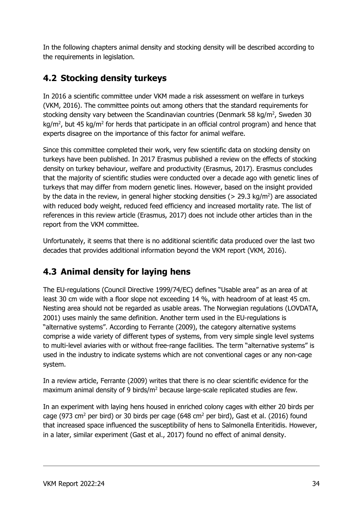In the following chapters animal density and stocking density will be described according to the requirements in legislation.

# 4.2 Stocking density turkeys

In 2016 a scientific committee under VKM made a risk assessment on welfare in turkeys (VKM, 2016). The committee points out among others that the standard requirements for stocking density vary between the Scandinavian countries (Denmark 58 kg/m<sup>2</sup>, Sweden 30  $\text{kg/m}^2$ , but 45 kg/m<sup>2</sup> for herds that participate in an official control program) and hence that experts disagree on the importance of this factor for animal welfare.

Since this committee completed their work, very few scientific data on stocking density on turkeys have been published. In 2017 Erasmus published a review on the effects of stocking density on turkey behaviour, welfare and productivity (Erasmus, 2017). Erasmus concludes that the majority of scientific studies were conducted over a decade ago with genetic lines of turkeys that may differ from modern genetic lines. However, based on the insight provided by the data in the review, in general higher stocking densities ( $> 29.3$  kg/m<sup>2</sup>) are associated with reduced body weight, reduced feed efficiency and increased mortality rate. The list of references in this review article (Erasmus, 2017) does not include other articles than in the report from the VKM committee.

Unfortunately, it seems that there is no additional scientific data produced over the last two decades that provides additional information beyond the VKM report (VKM, 2016).

# 4.3 Animal density for laying hens

The EU-regulations (Council Directive 1999/74/EC) defines "Usable area" as an area of at least 30 cm wide with a floor slope not exceeding 14 %, with headroom of at least 45 cm. Nesting area should not be regarded as usable areas. The Norwegian regulations (LOVDATA, 2001) uses mainly the same definition. Another term used in the EU-regulations is "alternative systems". According to Ferrante (2009), the category alternative systems comprise a wide variety of different types of systems, from very simple single level systems to multi-level aviaries with or without free-range facilities. The term "alternative systems" is used in the industry to indicate systems which are not conventional cages or any non-cage system.

In a review article, Ferrante (2009) writes that there is no clear scientific evidence for the maximum animal density of 9 birds/ $m<sup>2</sup>$  because large-scale replicated studies are few.

In an experiment with laying hens housed in enriched colony cages with either 20 birds per cage (973 cm<sup>2</sup> per bird) or 30 birds per cage (648 cm<sup>2</sup> per bird), Gast et al. (2016) found that increased space influenced the susceptibility of hens to Salmonella Enteritidis. However, in a later, similar experiment (Gast et al., 2017) found no effect of animal density.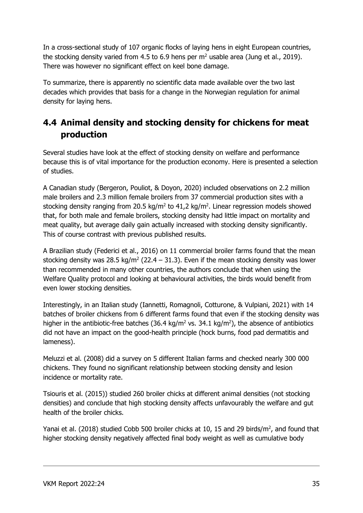In a cross-sectional study of 107 organic flocks of laying hens in eight European countries, the stocking density varied from 4.5 to 6.9 hens per  $m<sup>2</sup>$  usable area (Jung et al., 2019). There was however no significant effect on keel bone damage.

To summarize, there is apparently no scientific data made available over the two last decades which provides that basis for a change in the Norwegian regulation for animal density for laying hens.

## 4.4 Animal density and stocking density for chickens for meat production

Several studies have look at the effect of stocking density on welfare and performance because this is of vital importance for the production economy. Here is presented a selection of studies.

A Canadian study (Bergeron, Pouliot, & Doyon, 2020) included observations on 2.2 million male broilers and 2.3 million female broilers from 37 commercial production sites with a stocking density ranging from 20.5 kg/m<sup>2</sup> to 41,2 kg/m<sup>2</sup>. Linear regression models showed that, for both male and female broilers, stocking density had little impact on mortality and meat quality, but average daily gain actually increased with stocking density significantly. This of course contrast with previous published results.

A Brazilian study (Federici et al., 2016) on 11 commercial broiler farms found that the mean stocking density was 28.5 kg/m<sup>2</sup> (22.4 – 31.3). Even if the mean stocking density was lower than recommended in many other countries, the authors conclude that when using the Welfare Quality protocol and looking at behavioural activities, the birds would benefit from even lower stocking densities.

Interestingly, in an Italian study (Iannetti, Romagnoli, Cotturone, & Vulpiani, 2021) with 14 batches of broiler chickens from 6 different farms found that even if the stocking density was higher in the antibiotic-free batches (36.4 kg/m<sup>2</sup> vs. 34.1 kg/m<sup>2</sup>), the absence of antibiotics did not have an impact on the good-health principle (hock burns, food pad dermatitis and lameness).

Meluzzi et al. (2008) did a survey on 5 different Italian farms and checked nearly 300 000 chickens. They found no significant relationship between stocking density and lesion incidence or mortality rate.

Tsiouris et al. (2015)) studied 260 broiler chicks at different animal densities (not stocking densities) and conclude that high stocking density affects unfavourably the welfare and gut health of the broiler chicks.

Yanai et al. (2018) studied Cobb 500 broiler chicks at 10, 15 and 29 birds/ $m^2$ , and found that higher stocking density negatively affected final body weight as well as cumulative body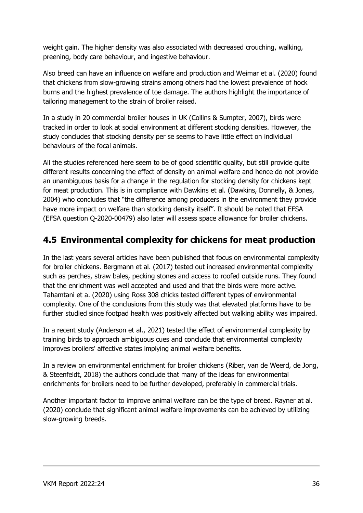weight gain. The higher density was also associated with decreased crouching, walking, preening, body care behaviour, and ingestive behaviour.

Also breed can have an influence on welfare and production and Weimar et al. (2020) found that chickens from slow-growing strains among others had the lowest prevalence of hock burns and the highest prevalence of toe damage. The authors highlight the importance of tailoring management to the strain of broiler raised.

In a study in 20 commercial broiler houses in UK (Collins & Sumpter, 2007), birds were tracked in order to look at social environment at different stocking densities. However, the study concludes that stocking density per se seems to have little effect on individual behaviours of the focal animals.

All the studies referenced here seem to be of good scientific quality, but still provide quite different results concerning the effect of density on animal welfare and hence do not provide an unambiguous basis for a change in the regulation for stocking density for chickens kept for meat production. This is in compliance with Dawkins et al. (Dawkins, Donnelly, & Jones, 2004) who concludes that "the difference among producers in the environment they provide have more impact on welfare than stocking density itself". It should be noted that EFSA (EFSA question Q-2020-00479) also later will assess space allowance for broiler chickens.

## 4.5 Environmental complexity for chickens for meat production

In the last years several articles have been published that focus on environmental complexity for broiler chickens. Bergmann et al. (2017) tested out increased environmental complexity such as perches, straw bales, pecking stones and access to roofed outside runs. They found that the enrichment was well accepted and used and that the birds were more active. Tahamtani et a. (2020) using Ross 308 chicks tested different types of environmental complexity. One of the conclusions from this study was that elevated platforms have to be further studied since footpad health was positively affected but walking ability was impaired.

In a recent study (Anderson et al., 2021) tested the effect of environmental complexity by training birds to approach ambiguous cues and conclude that environmental complexity improves broilers' affective states implying animal welfare benefits.

In a review on environmental enrichment for broiler chickens (Riber, van de Weerd, de Jong, & Steenfeldt, 2018) the authors conclude that many of the ideas for environmental enrichments for broilers need to be further developed, preferably in commercial trials.

Another important factor to improve animal welfare can be the type of breed. Rayner at al. (2020) conclude that significant animal welfare improvements can be achieved by utilizing slow-growing breeds.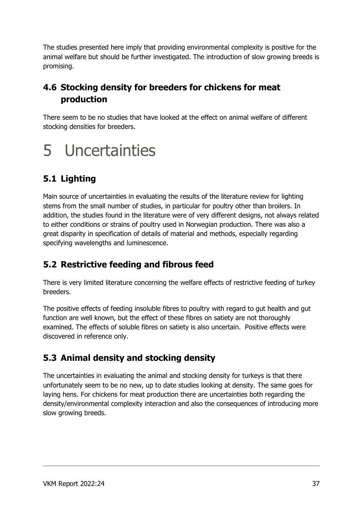The studies presented here imply that providing environmental complexity is positive for the animal welfare but should be further investigated. The introduction of slow growing breeds is promising.

# 4.6 Stocking density for breeders for chickens for meat production

There seem to be no studies that have looked at the effect on animal welfare of different stocking densities for breeders.

# 5 Uncertainties

# 5.1 Lighting

Main source of uncertainties in evaluating the results of the literature review for lighting stems from the small number of studies, in particular for poultry other than broilers. In addition, the studies found in the literature were of very different designs, not always related to either conditions or strains of poultry used in Norwegian production. There was also a great disparity in specification of details of material and methods, especially regarding specifying wavelengths and luminescence.

# 5.2 Restrictive feeding and fibrous feed

There is very limited literature concerning the welfare effects of restrictive feeding of turkey breeders.

The positive effects of feeding insoluble fibres to poultry with regard to gut health and gut function are well known, but the effect of these fibres on satiety are not thoroughly examined. The effects of soluble fibres on satiety is also uncertain. Positive effects were discovered in reference only.

# 5.3 Animal density and stocking density

The uncertainties in evaluating the animal and stocking density for turkeys is that there unfortunately seem to be no new, up to date studies looking at density. The same goes for laying hens. For chickens for meat production there are uncertainties both regarding the density/environmental complexity interaction and also the consequences of introducing more slow growing breeds.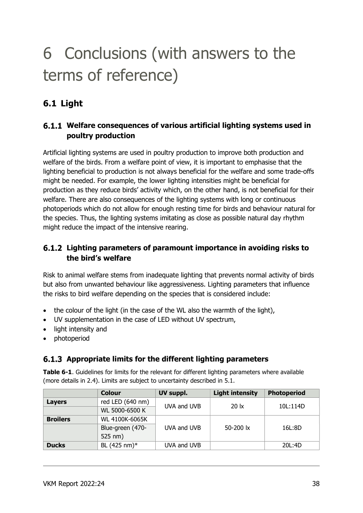# 6 Conclusions (with answers to the terms of reference)

# 6.1 Light

### Welfare consequences of various artificial lighting systems used in poultry production

Artificial lighting systems are used in poultry production to improve both production and welfare of the birds. From a welfare point of view, it is important to emphasise that the lighting beneficial to production is not always beneficial for the welfare and some trade-offs might be needed. For example, the lower lighting intensities might be beneficial for production as they reduce birds' activity which, on the other hand, is not beneficial for their welfare. There are also consequences of the lighting systems with long or continuous photoperiods which do not allow for enough resting time for birds and behaviour natural for the species. Thus, the lighting systems imitating as close as possible natural day rhythm might reduce the impact of the intensive rearing.

### Lighting parameters of paramount importance in avoiding risks to the bird's welfare

Risk to animal welfare stems from inadequate lighting that prevents normal activity of birds but also from unwanted behaviour like aggressiveness. Lighting parameters that influence the risks to bird welfare depending on the species that is considered include:

- the colour of the light (in the case of the WL also the warmth of the light),
- UV supplementation in the case of LED without UV spectrum,
- light intensity and
- photoperiod

## 6.1.3 Appropriate limits for the different lighting parameters

Table 6-1. Guidelines for limits for the relevant for different lighting parameters where available (more details in 2.4). Limits are subject to uncertainty described in 5.1.

|                 | <b>Colour</b>    | UV suppl.   | <b>Light intensity</b> | <b>Photoperiod</b> |
|-----------------|------------------|-------------|------------------------|--------------------|
| Layers          | red LED (640 nm) | UVA and UVB | $20 \text{lx}$         | 10L:114D           |
|                 | WL 5000-6500 K   |             |                        |                    |
| <b>Broilers</b> | WL 4100K-6065K   |             |                        |                    |
|                 | Blue-green (470- | UVA and UVB | 50-200 lx              | 16L:8D             |
|                 | 525 nm)          |             |                        |                    |
| <b>Ducks</b>    | BL (425 nm)*     | UVA and UVB |                        | 20L:4D             |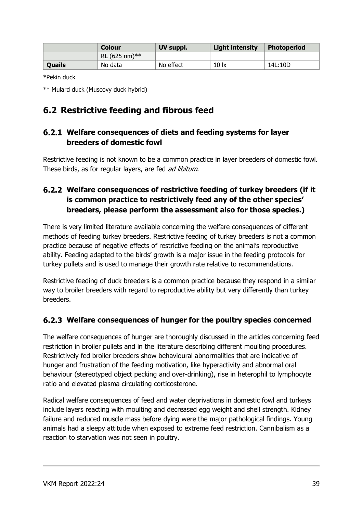|        | Colour           | UV suppl. | <b>Light intensity</b> | <b>Photoperiod</b> |
|--------|------------------|-----------|------------------------|--------------------|
|        | RL (625 nm) $**$ |           |                        |                    |
| Quails | No data          | No effect | 10 <sub>ix</sub>       | 14L:10D            |

\*Pekin duck

\*\* Mulard duck (Muscovy duck hybrid)

## 6.2 Restrictive feeding and fibrous feed

### Welfare consequences of diets and feeding systems for layer breeders of domestic fowl

Restrictive feeding is not known to be a common practice in layer breeders of domestic fowl. These birds, as for regular layers, are fed *ad libitum*.

## Welfare consequences of restrictive feeding of turkey breeders (if it is common practice to restrictively feed any of the other species' breeders, please perform the assessment also for those species.)

There is very limited literature available concerning the welfare consequences of different methods of feeding turkey breeders. Restrictive feeding of turkey breeders is not a common practice because of negative effects of restrictive feeding on the animal's reproductive ability. Feeding adapted to the birds' growth is a major issue in the feeding protocols for turkey pullets and is used to manage their growth rate relative to recommendations.

Restrictive feeding of duck breeders is a common practice because they respond in a similar way to broiler breeders with regard to reproductive ability but very differently than turkey breeders.

## Welfare consequences of hunger for the poultry species concerned

The welfare consequences of hunger are thoroughly discussed in the articles concerning feed restriction in broiler pullets and in the literature describing different moulting procedures. Restrictively fed broiler breeders show behavioural abnormalities that are indicative of hunger and frustration of the feeding motivation, like hyperactivity and abnormal oral behaviour (stereotyped object pecking and over-drinking), rise in heterophil to lymphocyte ratio and elevated plasma circulating corticosterone.

Radical welfare consequences of feed and water deprivations in domestic fowl and turkeys include layers reacting with moulting and decreased egg weight and shell strength. Kidney failure and reduced muscle mass before dying were the major pathological findings. Young animals had a sleepy attitude when exposed to extreme feed restriction. Cannibalism as a reaction to starvation was not seen in poultry.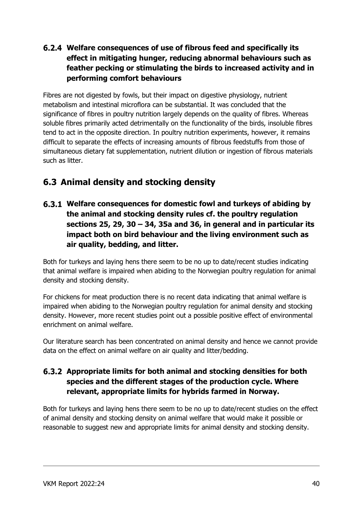## Welfare consequences of use of fibrous feed and specifically its effect in mitigating hunger, reducing abnormal behaviours such as feather pecking or stimulating the birds to increased activity and in performing comfort behaviours

Fibres are not digested by fowls, but their impact on digestive physiology, nutrient metabolism and intestinal microflora can be substantial. It was concluded that the significance of fibres in poultry nutrition largely depends on the quality of fibres. Whereas soluble fibres primarily acted detrimentally on the functionality of the birds, insoluble fibres tend to act in the opposite direction. In poultry nutrition experiments, however, it remains difficult to separate the effects of increasing amounts of fibrous feedstuffs from those of simultaneous dietary fat supplementation, nutrient dilution or ingestion of fibrous materials such as litter.

# 6.3 Animal density and stocking density

Welfare consequences for domestic fowl and turkeys of abiding by the animal and stocking density rules cf. the poultry regulation sections 25, 29, 30 – 34, 35a and 36, in general and in particular its impact both on bird behaviour and the living environment such as air quality, bedding, and litter.

Both for turkeys and laying hens there seem to be no up to date/recent studies indicating that animal welfare is impaired when abiding to the Norwegian poultry regulation for animal density and stocking density.

For chickens for meat production there is no recent data indicating that animal welfare is impaired when abiding to the Norwegian poultry regulation for animal density and stocking density. However, more recent studies point out a possible positive effect of environmental enrichment on animal welfare.

Our literature search has been concentrated on animal density and hence we cannot provide data on the effect on animal welfare on air quality and litter/bedding.

### Appropriate limits for both animal and stocking densities for both species and the different stages of the production cycle. Where relevant, appropriate limits for hybrids farmed in Norway.

Both for turkeys and laying hens there seem to be no up to date/recent studies on the effect of animal density and stocking density on animal welfare that would make it possible or reasonable to suggest new and appropriate limits for animal density and stocking density.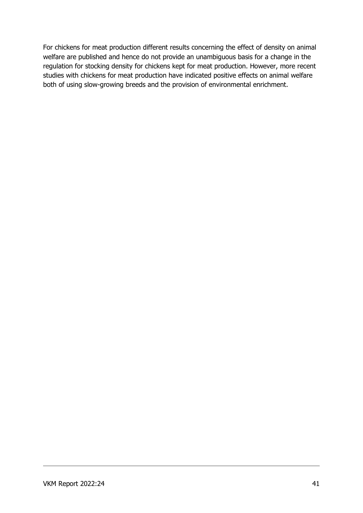For chickens for meat production different results concerning the effect of density on animal welfare are published and hence do not provide an unambiguous basis for a change in the regulation for stocking density for chickens kept for meat production. However, more recent studies with chickens for meat production have indicated positive effects on animal welfare both of using slow-growing breeds and the provision of environmental enrichment.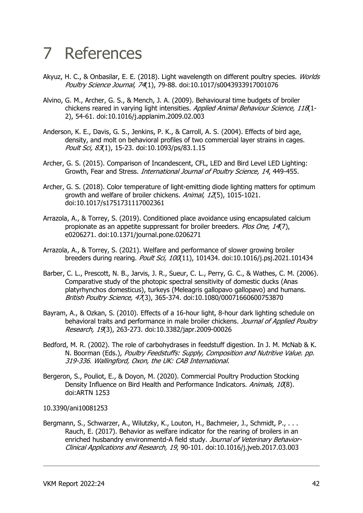# 7 References

- Akyuz, H. C., & Onbasilar, E. E. (2018). Light wavelength on different poultry species. Worlds Poultry Science Journal, 74(1), 79-88. doi:10.1017/s0043933917001076
- Alvino, G. M., Archer, G. S., & Mench, J. A. (2009). Behavioural time budgets of broiler chickens reared in varying light intensities. Applied Animal Behaviour Science, 118(1-2), 54-61. doi:10.1016/j.applanim.2009.02.003
- Anderson, K. E., Davis, G. S., Jenkins, P. K., & Carroll, A. S. (2004). Effects of bird age, density, and molt on behavioral profiles of two commercial layer strains in cages. Poult Sci, 83(1), 15-23. doi:10.1093/ps/83.1.15
- Archer, G. S. (2015). Comparison of Incandescent, CFL, LED and Bird Level LED Lighting: Growth, Fear and Stress. International Journal of Poultry Science, 14, 449-455.
- Archer, G. S. (2018). Color temperature of light-emitting diode lighting matters for optimum growth and welfare of broiler chickens. Animal, 12(5), 1015-1021. doi:10.1017/s1751731117002361
- Arrazola, A., & Torrey, S. (2019). Conditioned place avoidance using encapsulated calcium propionate as an appetite suppressant for broiler breeders. Plos One, 14(7), e0206271. doi:10.1371/journal.pone.0206271
- Arrazola, A., & Torrey, S. (2021). Welfare and performance of slower growing broiler breeders during rearing. Poult Sci, 100(11), 101434. doi:10.1016/j.psj.2021.101434
- Barber, C. L., Prescott, N. B., Jarvis, J. R., Sueur, C. L., Perry, G. C., & Wathes, C. M. (2006). Comparative study of the photopic spectral sensitivity of domestic ducks (Anas platyrhynchos domesticus), turkeys (Meleagris gallopavo gallopavo) and humans. British Poultry Science, 47(3), 365-374. doi:10.1080/00071660600753870
- Bayram, A., & Ozkan, S. (2010). Effects of a 16-hour light, 8-hour dark lighting schedule on behavioral traits and performance in male broiler chickens. Journal of Applied Poultry Research, 19(3), 263-273. doi:10.3382/japr.2009-00026
- Bedford, M. R. (2002). The role of carbohydrases in feedstuff digestion. In J. M. McNab & K. N. Boorman (Eds.), Poultry Feedstuffs: Supply, Composition and Nutritive Value. pp. 319-336. Wallingford, Oxon, the UK: CAB International.
- Bergeron, S., Pouliot, E., & Doyon, M. (2020). Commercial Poultry Production Stocking Density Influence on Bird Health and Performance Indicators. Animals, 10(8). doi:ARTN 1253

#### 10.3390/ani10081253

Bergmann, S., Schwarzer, A., Wilutzky, K., Louton, H., Bachmeier, J., Schmidt, P., ... Rauch, E. (2017). Behavior as welfare indicator for the rearing of broilers in an enriched husbandry environmentd-A field study. Journal of Veterinary Behavior-Clinical Applications and Research, 19, 90-101. doi:10.1016/j.jveb.2017.03.003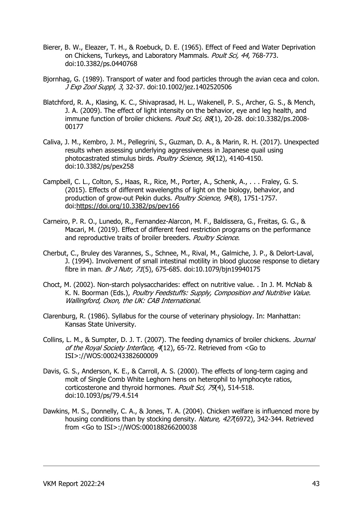- Bierer, B. W., Eleazer, T. H., & Roebuck, D. E. (1965). Effect of Feed and Water Deprivation on Chickens, Turkeys, and Laboratory Mammals. Poult Sci, 44, 768-773. doi:10.3382/ps.0440768
- Bjornhag, G. (1989). Transport of water and food particles through the avian ceca and colon. J Exp Zool Suppl, 3, 32-37. doi:10.1002/jez.1402520506
- Blatchford, R. A., Klasing, K. C., Shivaprasad, H. L., Wakenell, P. S., Archer, G. S., & Mench, J. A. (2009). The effect of light intensity on the behavior, eye and leg health, and immune function of broiler chickens. Poult Sci, 88(1), 20-28. doi:10.3382/ps.2008-00177
- Caliva, J. M., Kembro, J. M., Pellegrini, S., Guzman, D. A., & Marin, R. H. (2017). Unexpected results when assessing underlying aggressiveness in Japanese quail using photocastrated stimulus birds. Poultry Science, 96(12), 4140-4150. doi:10.3382/ps/pex258
- Campbell, C. L., Colton, S., Haas, R., Rice, M., Porter, A., Schenk, A., . . . Fraley, G. S. (2015). Effects of different wavelengths of light on the biology, behavior, and production of grow-out Pekin ducks. Poultry Science, 94(8), 1751-1757. doi:https://doi.org/10.3382/ps/pev166
- Carneiro, P. R. O., Lunedo, R., Fernandez-Alarcon, M. F., Baldissera, G., Freitas, G. G., & Macari, M. (2019). Effect of different feed restriction programs on the performance and reproductive traits of broiler breeders. Poultry Science.
- Cherbut, C., Bruley des Varannes, S., Schnee, M., Rival, M., Galmiche, J. P., & Delort-Laval, J. (1994). Involvement of small intestinal motility in blood glucose response to dietary fibre in man. Br J Nutr, 71(5), 675-685. doi:10.1079/bjn19940175
- Choct, M. (2002). Non-starch polysaccharides: effect on nutritive value. . In J. M. McNab & K. N. Boorman (Eds.), Poultry Feedstuffs: Supply, Composition and Nutritive Value. Wallingford, Oxon, the UK: CAB International.
- Clarenburg, R. (1986). Syllabus for the course of veterinary physiology. In: Manhattan: Kansas State University.
- Collins, L. M., & Sumpter, D. J. T. (2007). The feeding dynamics of broiler chickens. *Journal* of the Royal Society Interface, 4(12), 65-72. Retrieved from <Go to ISI>://WOS:000243382600009
- Davis, G. S., Anderson, K. E., & Carroll, A. S. (2000). The effects of long-term caging and molt of Single Comb White Leghorn hens on heterophil to lymphocyte ratios, corticosterone and thyroid hormones. Poult Sci, 79(4), 514-518. doi:10.1093/ps/79.4.514
- Dawkins, M. S., Donnelly, C. A., & Jones, T. A. (2004). Chicken welfare is influenced more by housing conditions than by stocking density. Nature, 427(6972), 342-344. Retrieved from <Go to ISI>://WOS:000188266200038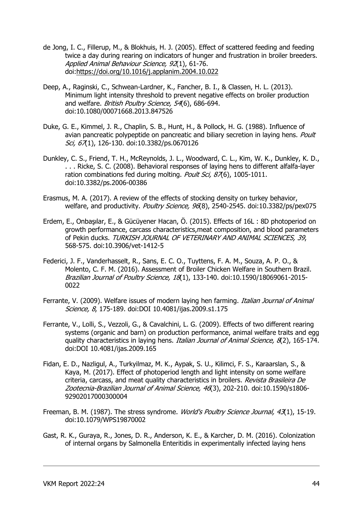- de Jong, I. C., Fillerup, M., & Blokhuis, H. J. (2005). Effect of scattered feeding and feeding twice a day during rearing on indicators of hunger and frustration in broiler breeders. Applied Animal Behaviour Science, 92(1), 61-76. doi:https://doi.org/10.1016/j.applanim.2004.10.022
- Deep, A., Raginski, C., Schwean-Lardner, K., Fancher, B. I., & Classen, H. L. (2013). Minimum light intensity threshold to prevent negative effects on broiler production and welfare. British Poultry Science, 54(6), 686-694. doi:10.1080/00071668.2013.847526
- Duke, G. E., Kimmel, J. R., Chaplin, S. B., Hunt, H., & Pollock, H. G. (1988). Influence of avian pancreatic polypeptide on pancreatic and biliary secretion in laying hens. Poult Sci, 67(1), 126-130. doi:10.3382/ps.0670126
- Dunkley, C. S., Friend, T. H., McReynolds, J. L., Woodward, C. L., Kim, W. K., Dunkley, K. D., . . . Ricke, S. C. (2008). Behavioral responses of laying hens to different alfalfa-layer ration combinations fed during molting. Poult Sci, 876), 1005-1011. doi:10.3382/ps.2006-00386
- Erasmus, M. A. (2017). A review of the effects of stocking density on turkey behavior, welfare, and productivity. Poultry Science, 96(8), 2540-2545. doi:10.3382/ps/pex075
- Erdem, E., Onbaşılar, E., & Gücüyener Hacan, Ö. (2015). Effects of 16L : 8D photoperiod on growth performance, carcass characteristics,meat composition, and blood parameters of Pekin ducks. TURKISH JOURNAL OF VETERINARY AND ANIMAL SCIENCES, 39, 568-575. doi:10.3906/vet-1412-5
- Federici, J. F., Vanderhasselt, R., Sans, E. C. O., Tuyttens, F. A. M., Souza, A. P. O., & Molento, C. F. M. (2016). Assessment of Broiler Chicken Welfare in Southern Brazil. Brazilian Journal of Poultry Science, 18(1), 133-140. doi:10.1590/18069061-2015- 0022
- Ferrante, V. (2009). Welfare issues of modern laying hen farming. *Italian Journal of Animal* Science, 8, 175-189. doi:DOI 10.4081/ijas.2009.s1.175
- Ferrante, V., Lolli, S., Vezzoli, G., & Cavalchini, L. G. (2009). Effects of two different rearing systems (organic and barn) on production performance, animal welfare traits and egg quality characteristics in laying hens. *Italian Journal of Animal Science, 8*(2), 165-174. doi:DOI 10.4081/ijas.2009.165
- Fidan, E. D., Nazligul, A., Turkyilmaz, M. K., Aypak, S. U., Kilimci, F. S., Karaarslan, S., & Kaya, M. (2017). Effect of photoperiod length and light intensity on some welfare criteria, carcass, and meat quality characteristics in broilers. Revista Brasileira De Zootecnia-Brazilian Journal of Animal Science, 46(3), 202-210. doi:10.1590/s1806- 92902017000300004
- Freeman, B. M. (1987). The stress syndrome. World's Poultry Science Journal, 43(1), 15-19. doi:10.1079/WPS19870002
- Gast, R. K., Guraya, R., Jones, D. R., Anderson, K. E., & Karcher, D. M. (2016). Colonization of internal organs by Salmonella Enteritidis in experimentally infected laying hens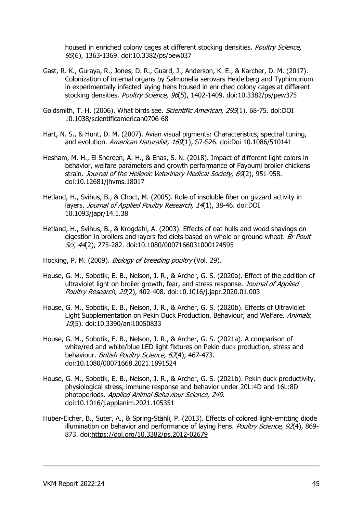housed in enriched colony cages at different stocking densities. Poultry Science, 95(6), 1363-1369. doi:10.3382/ps/pew037

- Gast, R. K., Guraya, R., Jones, D. R., Guard, J., Anderson, K. E., & Karcher, D. M. (2017). Colonization of internal organs by Salmonella serovars Heidelberg and Typhimurium in experimentally infected laying hens housed in enriched colony cages at different stocking densities. Poultry Science, 96(5), 1402-1409. doi:10.3382/ps/pew375
- Goldsmith, T. H. (2006). What birds see. Scientific American, 295(1), 68-75. doi:DOI 10.1038/scientificamerican0706-68
- Hart, N. S., & Hunt, D. M. (2007). Avian visual pigments: Characteristics, spectral tuning, and evolution. American Naturalist, 169(1), S7-S26. doi:Doi 10.1086/510141
- Hesham, M. H., El Shereen, A. H., & Enas, S. N. (2018). Impact of different light colors in behavior, welfare parameters and growth performance of Fayoumi broiler chickens strain. Journal of the Hellenic Veterinary Medical Society, 69(2), 951-958. doi:10.12681/jhvms.18017
- Hetland, H., Svihus, B., & Choct, M. (2005). Role of insoluble fiber on gizzard activity in layers. Journal of Applied Poultry Research, 14(1), 38-46. doi:DOI 10.1093/japr/14.1.38
- Hetland, H., Svihus, B., & Krogdahl, A. (2003). Effects of oat hulls and wood shavings on digestion in broilers and layers fed diets based on whole or ground wheat. Br Poult Sci, 44(2), 275-282. doi:10.1080/0007166031000124595
- Hocking, P. M. (2009). *Biology of breeding poultry* (Vol. 29).
- House, G. M., Sobotik, E. B., Nelson, J. R., & Archer, G. S. (2020a). Effect of the addition of ultraviolet light on broiler growth, fear, and stress response. Journal of Applied Poultry Research, 29(2), 402-408. doi:10.1016/j.japr.2020.01.003
- House, G. M., Sobotik, E. B., Nelson, J. R., & Archer, G. S. (2020b). Effects of Ultraviolet Light Supplementation on Pekin Duck Production, Behaviour, and Welfare. Animals,  $10(5)$ . doi:10.3390/ani10050833
- House, G. M., Sobotik, E. B., Nelson, J. R., & Archer, G. S. (2021a). A comparison of white/red and white/blue LED light fixtures on Pekin duck production, stress and behaviour. British Poultry Science, 62(4), 467-473. doi:10.1080/00071668.2021.1891524
- House, G. M., Sobotik, E. B., Nelson, J. R., & Archer, G. S. (2021b). Pekin duck productivity, physiological stress, immune response and behavior under 20L:4D and 16L:8D photoperiods. Applied Animal Behaviour Science, 240. doi:10.1016/j.applanim.2021.105351
- Huber-Eicher, B., Suter, A., & Spring-Stähli, P. (2013). Effects of colored light-emitting diode illumination on behavior and performance of laying hens. Poultry Science, 92(4), 869-873. doi:https://doi.org/10.3382/ps.2012-02679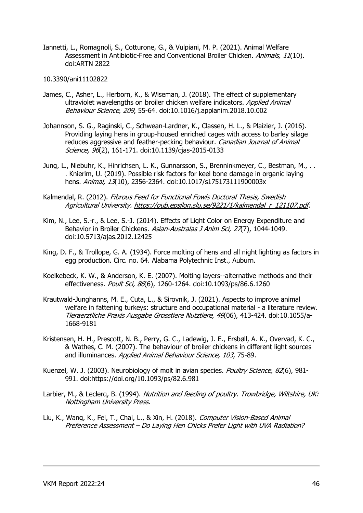Iannetti, L., Romagnoli, S., Cotturone, G., & Vulpiani, M. P. (2021). Animal Welfare Assessment in Antibiotic-Free and Conventional Broiler Chicken. Animals, 11(10). doi:ARTN 2822

#### 10.3390/ani11102822

- James, C., Asher, L., Herborn, K., & Wiseman, J. (2018). The effect of supplementary ultraviolet wavelengths on broiler chicken welfare indicators. Applied Animal Behaviour Science, 209, 55-64. doi:10.1016/j.applanim.2018.10.002
- Johannson, S. G., Raginski, C., Schwean-Lardner, K., Classen, H. L., & Plaizier, J. (2016). Providing laying hens in group-housed enriched cages with access to barley silage reduces aggressive and feather-pecking behaviour. Canadian Journal of Animal Science, 96(2), 161-171. doi:10.1139/cjas-2015-0133
- Jung, L., Niebuhr, K., Hinrichsen, L. K., Gunnarsson, S., Brenninkmeyer, C., Bestman, M., .. . Knierim, U. (2019). Possible risk factors for keel bone damage in organic laying hens. Animal, 13(10), 2356-2364. doi:10.1017/s175173111900003x
- Kalmendal, R. (2012). Fibrous Feed for Functional Fowls Doctoral Thesis, Swedish Agricultural University. https://pub.epsilon.slu.se/9221/1/kalmendal\_r\_121107.pdf.
- Kim, N., Lee, S.-r., & Lee, S.-J. (2014). Effects of Light Color on Energy Expenditure and Behavior in Broiler Chickens. Asian-Australas J Anim Sci, 27(7), 1044-1049. doi:10.5713/ajas.2012.12425
- King, D. F., & Trollope, G. A. (1934). Force molting of hens and all night lighting as factors in egg production. Circ. no. 64. Alabama Polytechnic Inst., Auburn.
- Koelkebeck, K. W., & Anderson, K. E. (2007). Molting layers--alternative methods and their effectiveness. Poult Sci, 86(6), 1260-1264. doi:10.1093/ps/86.6.1260
- Krautwald-Junghanns, M. E., Cuta, L., & Sirovnik, J. (2021). Aspects to improve animal welfare in fattening turkeys: structure and occupational material - a literature review. Tieraerztliche Praxis Ausgabe Grosstiere Nutztiere, 49(06), 413-424. doi:10.1055/a-1668-9181
- Kristensen, H. H., Prescott, N. B., Perry, G. C., Ladewig, J. E., Ersbøll, A. K., Overvad, K. C., & Wathes, C. M. (2007). The behaviour of broiler chickens in different light sources and illuminances. Applied Animal Behaviour Science, 103, 75-89.
- Kuenzel, W. J. (2003). Neurobiology of molt in avian species. *Poultry Science, 82*(6), 981-991. doi:https://doi.org/10.1093/ps/82.6.981
- Larbier, M., & Leclerg, B. (1994). Nutrition and feeding of poultry. Trowbridge, Wiltshire, UK: Nottingham University Press.
- Liu, K., Wang, K., Fei, T., Chai, L., & Xin, H. (2018). Computer Vision-Based Animal Preference Assessment – Do Laying Hen Chicks Prefer Light with UVA Radiation?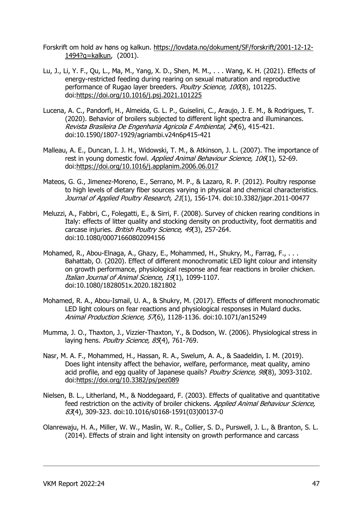- Forskrift om hold av høns og kalkun. https://lovdata.no/dokument/SF/forskrift/2001-12-12- 1494?q=kalkun, (2001).
- Lu, J., Li, Y. F., Qu, L., Ma, M., Yang, X. D., Shen, M. M., . . . Wang, K. H. (2021). Effects of energy-restricted feeding during rearing on sexual maturation and reproductive performance of Rugao layer breeders. Poultry Science, 100(8), 101225. doi:https://doi.org/10.1016/j.psj.2021.101225
- Lucena, A. C., Pandorfi, H., Almeida, G. L. P., Guiselini, C., Araujo, J. E. M., & Rodrigues, T. (2020). Behavior of broilers subjected to different light spectra and illuminances. Revista Brasileira De Engenharia Agricola E Ambiental, 24(6), 415-421. doi:10.1590/1807-1929/agriambi.v24n6p415-421
- Malleau, A. E., Duncan, I. J. H., Widowski, T. M., & Atkinson, J. L. (2007). The importance of rest in young domestic fowl. Applied Animal Behaviour Science, 106(1), 52-69. doi:https://doi.org/10.1016/j.applanim.2006.06.017
- Mateos, G. G., Jimenez-Moreno, E., Serrano, M. P., & Lazaro, R. P. (2012). Poultry response to high levels of dietary fiber sources varying in physical and chemical characteristics. Journal of Applied Poultry Research, 21(1), 156-174. doi:10.3382/japr.2011-00477
- Meluzzi, A., Fabbri, C., Folegatti, E., & Sirri, F. (2008). Survey of chicken rearing conditions in Italy: effects of litter quality and stocking density on productivity, foot dermatitis and carcase injuries. British Poultry Science, 49(3), 257-264. doi:10.1080/00071660802094156
- Mohamed, R., Abou-Elnaga, A., Ghazy, E., Mohammed, H., Shukry, M., Farrag, F., . . . Bahattab, O. (2020). Effect of different monochromatic LED light colour and intensity on growth performance, physiological response and fear reactions in broiler chicken. Italian Journal of Animal Science, 19(1), 1099-1107. doi:10.1080/1828051x.2020.1821802
- Mohamed, R. A., Abou-Ismail, U. A., & Shukry, M. (2017). Effects of different monochromatic LED light colours on fear reactions and physiological responses in Mulard ducks. Animal Production Science, 57(6), 1128-1136. doi:10.1071/an15249
- Mumma, J. O., Thaxton, J., Vizzier-Thaxton, Y., & Dodson, W. (2006). Physiological stress in laying hens. Poultry Science, 85(4), 761-769.
- Nasr, M. A. F., Mohammed, H., Hassan, R. A., Swelum, A. A., & Saadeldin, I. M. (2019). Does light intensity affect the behavior, welfare, performance, meat quality, amino acid profile, and egg quality of Japanese quails? Poultry Science, 98(8), 3093-3102. doi:https://doi.org/10.3382/ps/pez089
- Nielsen, B. L., Litherland, M., & Noddegaard, F. (2003). Effects of qualitative and quantitative feed restriction on the activity of broiler chickens. Applied Animal Behaviour Science, 83(4), 309-323. doi:10.1016/s0168-1591(03)00137-0
- Olanrewaju, H. A., Miller, W. W., Maslin, W. R., Collier, S. D., Purswell, J. L., & Branton, S. L. (2014). Effects of strain and light intensity on growth performance and carcass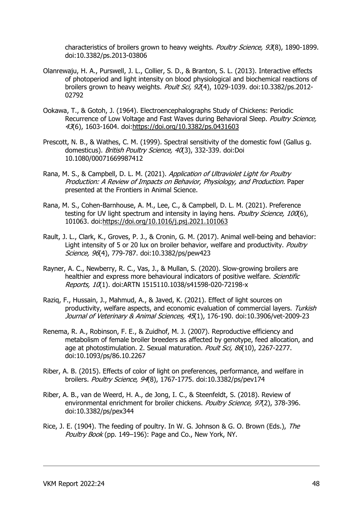characteristics of broilers grown to heavy weights. Poultry Science, 93(8), 1890-1899. doi:10.3382/ps.2013-03806

- Olanrewaju, H. A., Purswell, J. L., Collier, S. D., & Branton, S. L. (2013). Interactive effects of photoperiod and light intensity on blood physiological and biochemical reactions of broilers grown to heavy weights. Poult Sci, 92(4), 1029-1039. doi:10.3382/ps.2012-02792
- Ookawa, T., & Gotoh, J. (1964). Electroencephalographs Study of Chickens: Periodic Recurrence of Low Voltage and Fast Waves during Behavioral Sleep. Poultry Science, 43(6), 1603-1604. doi:https://doi.org/10.3382/ps.0431603
- Prescott, N. B., & Wathes, C. M. (1999). Spectral sensitivity of the domestic fowl (Gallus g. domesticus). British Poultry Science, 40(3), 332-339. doi:Doi 10.1080/00071669987412
- Rana, M. S., & Campbell, D. L. M. (2021). Application of Ultraviolet Light for Poultry Production: A Review of Impacts on Behavior, Physiology, and Production. Paper presented at the Frontiers in Animal Science.
- Rana, M. S., Cohen-Barnhouse, A. M., Lee, C., & Campbell, D. L. M. (2021). Preference testing for UV light spectrum and intensity in laying hens. *Poultry Science, 100*(6), 101063. doi:https://doi.org/10.1016/j.psj.2021.101063
- Rault, J. L., Clark, K., Groves, P. J., & Cronin, G. M. (2017). Animal well-being and behavior: Light intensity of 5 or 20 lux on broiler behavior, welfare and productivity. Poultry Science, 96(4), 779-787. doi:10.3382/ps/pew423
- Rayner, A. C., Newberry, R. C., Vas, J., & Mullan, S. (2020). Slow-growing broilers are healthier and express more behavioural indicators of positive welfare. Scientific Reports, 10(1). doi: ARTN 1515110.1038/s41598-020-72198-x
- Raziq, F., Hussain, J., Mahmud, A., & Javed, K. (2021). Effect of light sources on productivity, welfare aspects, and economic evaluation of commercial layers. Turkish Journal of Veterinary & Animal Sciences, 45(1), 176-190. doi:10.3906/vet-2009-23
- Renema, R. A., Robinson, F. E., & Zuidhof, M. J. (2007). Reproductive efficiency and metabolism of female broiler breeders as affected by genotype, feed allocation, and age at photostimulation. 2. Sexual maturation. Poult Sci, 86(10), 2267-2277. doi:10.1093/ps/86.10.2267
- Riber, A. B. (2015). Effects of color of light on preferences, performance, and welfare in broilers. Poultry Science, 94(8), 1767-1775. doi:10.3382/ps/pev174
- Riber, A. B., van de Weerd, H. A., de Jong, I. C., & Steenfeldt, S. (2018). Review of environmental enrichment for broiler chickens. Poultry Science, 97(2), 378-396. doi:10.3382/ps/pex344
- Rice, J. E. (1904). The feeding of poultry. In W. G. Johnson & G. O. Brown (Eds.), The Poultry Book (pp. 149–196): Page and Co., New York, NY.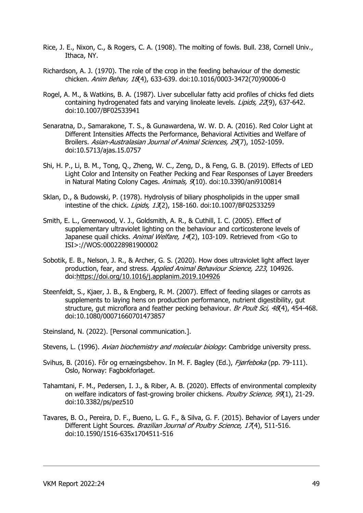- Rice, J. E., Nixon, C., & Rogers, C. A. (1908). The molting of fowls. Bull. 238, Cornell Univ., Ithaca, NY.
- Richardson, A. J. (1970). The role of the crop in the feeding behaviour of the domestic chicken. Anim Behav, 18(4), 633-639. doi:10.1016/0003-3472(70)90006-0
- Rogel, A. M., & Watkins, B. A. (1987). Liver subcellular fatty acid profiles of chicks fed diets containing hydrogenated fats and varying linoleate levels. *Lipids, 22*(9), 637-642. doi:10.1007/BF02533941
- Senaratna, D., Samarakone, T. S., & Gunawardena, W. W. D. A. (2016). Red Color Light at Different Intensities Affects the Performance, Behavioral Activities and Welfare of Broilers. Asian-Australasian Journal of Animal Sciences, 29(7), 1052-1059. doi:10.5713/ajas.15.0757
- Shi, H. P., Li, B. M., Tong, Q., Zheng, W. C., Zeng, D., & Feng, G. B. (2019). Effects of LED Light Color and Intensity on Feather Pecking and Fear Responses of Layer Breeders in Natural Mating Colony Cages. Animals, 9(10). doi:10.3390/ani9100814
- Sklan, D., & Budowski, P. (1978). Hydrolysis of biliary phospholipids in the upper small intestine of the chick. *Lipids, 13*(2), 158-160. doi:10.1007/BF02533259
- Smith, E. L., Greenwood, V. J., Goldsmith, A. R., & Cuthill, I. C. (2005). Effect of supplementary ultraviolet lighting on the behaviour and corticosterone levels of Japanese quail chicks. Animal Welfare, 14(2), 103-109. Retrieved from <Go to ISI>://WOS:000228981900002
- Sobotik, E. B., Nelson, J. R., & Archer, G. S. (2020). How does ultraviolet light affect layer production, fear, and stress. Applied Animal Behaviour Science, 223, 104926. doi:https://doi.org/10.1016/j.applanim.2019.104926
- Steenfeldt, S., Kjaer, J. B., & Engberg, R. M. (2007). Effect of feeding silages or carrots as supplements to laying hens on production performance, nutrient digestibility, gut structure, gut microflora and feather pecking behaviour. Br Poult Sci, 48(4), 454-468. doi:10.1080/00071660701473857

Steinsland, N. (2022). [Personal communication.].

- Stevens, L. (1996). Avian biochemistry and molecular biology: Cambridge university press.
- Svihus, B. (2016). Fôr og ernæingsbehov. In M. F. Bagley (Ed.), Fjørfeboka (pp. 79-111). Oslo, Norway: Fagbokforlaget.
- Tahamtani, F. M., Pedersen, I. J., & Riber, A. B. (2020). Effects of environmental complexity on welfare indicators of fast-growing broiler chickens. Poultry Science, 99(1), 21-29. doi:10.3382/ps/pez510
- Tavares, B. O., Pereira, D. F., Bueno, L. G. F., & Silva, G. F. (2015). Behavior of Layers under Different Light Sources. Brazilian Journal of Poultry Science, 17(4), 511-516. doi:10.1590/1516-635x1704511-516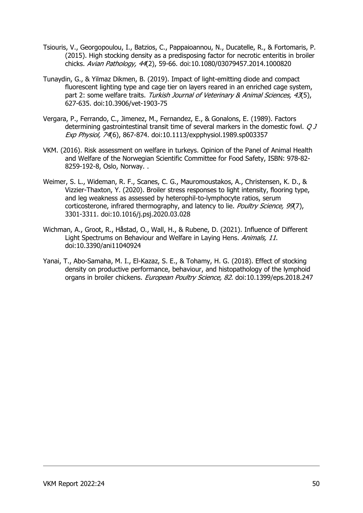- Tsiouris, V., Georgopoulou, I., Batzios, C., Pappaioannou, N., Ducatelle, R., & Fortomaris, P. (2015). High stocking density as a predisposing factor for necrotic enteritis in broiler chicks. Avian Pathology, 44(2), 59-66. doi:10.1080/03079457.2014.1000820
- Tunaydin, G., & Yilmaz Dikmen, B. (2019). Impact of light-emitting diode and compact fluorescent lighting type and cage tier on layers reared in an enriched cage system, part 2: some welfare traits. Turkish Journal of Veterinary & Animal Sciences, 43(5), 627-635. doi:10.3906/vet-1903-75
- Vergara, P., Ferrando, C., Jimenez, M., Fernandez, E., & Gonalons, E. (1989). Factors determining gastrointestinal transit time of several markers in the domestic fowl. *Q J* Exp Physiol, 74(6), 867-874. doi:10.1113/expphysiol.1989.sp003357
- VKM. (2016). Risk assessment on welfare in turkeys. Opinion of the Panel of Animal Health and Welfare of the Norwegian Scientific Committee for Food Safety, ISBN: 978-82- 8259-192-8, Oslo, Norway. .
- Weimer, S. L., Wideman, R. F., Scanes, C. G., Mauromoustakos, A., Christensen, K. D., & Vizzier-Thaxton, Y. (2020). Broiler stress responses to light intensity, flooring type, and leg weakness as assessed by heterophil-to-lymphocyte ratios, serum corticosterone, infrared thermography, and latency to lie. Poultry Science, 99(7), 3301-3311. doi:10.1016/j.psj.2020.03.028
- Wichman, A., Groot, R., Håstad, O., Wall, H., & Rubene, D. (2021). Influence of Different Light Spectrums on Behaviour and Welfare in Laying Hens. Animals, 11. doi:10.3390/ani11040924
- Yanai, T., Abo-Samaha, M. I., El-Kazaz, S. E., & Tohamy, H. G. (2018). Effect of stocking density on productive performance, behaviour, and histopathology of the lymphoid organs in broiler chickens. European Poultry Science, 82. doi:10.1399/eps.2018.247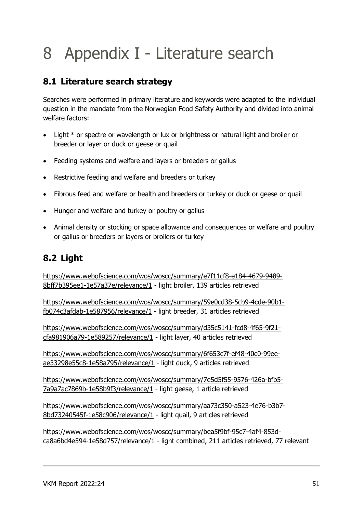# 8 Appendix I - Literature search

## 8.1 Literature search strategy

Searches were performed in primary literature and keywords were adapted to the individual question in the mandate from the Norwegian Food Safety Authority and divided into animal welfare factors:

- Light \* or spectre or wavelength or lux or brightness or natural light and broiler or breeder or layer or duck or geese or quail
- Feeding systems and welfare and layers or breeders or gallus
- Restrictive feeding and welfare and breeders or turkey
- Fibrous feed and welfare or health and breeders or turkey or duck or geese or quail
- Hunger and welfare and turkey or poultry or gallus
- Animal density or stocking or space allowance and consequences or welfare and poultry or gallus or breeders or layers or broilers or turkey

## 8.2 Light

https://www.webofscience.com/wos/woscc/summary/e7f11cf8-e184-4679-9489- 8bff7b395ee1-1e57a37e/relevance/1 - light broiler, 139 articles retrieved

https://www.webofscience.com/wos/woscc/summary/59e0cd38-5cb9-4cde-90b1 fb074c3afdab-1e587956/relevance/1 - light breeder, 31 articles retrieved

https://www.webofscience.com/wos/woscc/summary/d35c5141-fcd8-4f65-9f21 cfa981906a79-1e589257/relevance/1 - light layer, 40 articles retrieved

https://www.webofscience.com/wos/woscc/summary/6f653c7f-ef48-40c0-99eeae33298e55c8-1e58a795/relevance/1 - light duck, 9 articles retrieved

https://www.webofscience.com/wos/woscc/summary/7e5d5f55-9576-426a-bfb5- 7a9a7ac7869b-1e58b9f3/relevance/1 - light geese, 1 article retrieved

https://www.webofscience.com/wos/woscc/summary/aa73c350-a523-4e76-b3b7- 8bd73240545f-1e58c906/relevance/1 - light quail, 9 articles retrieved

https://www.webofscience.com/wos/woscc/summary/bea5f9bf-95c7-4af4-853dca8a6bd4e594-1e58d757/relevance/1 - light combined, 211 articles retrieved, 77 relevant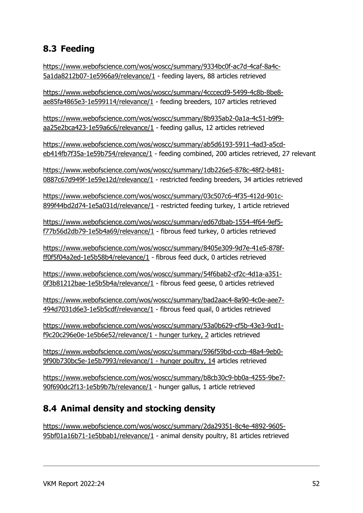## 8.3 Feeding

https://www.webofscience.com/wos/woscc/summary/9334bc0f-ac7d-4caf-8a4c-5a1da8212b07-1e5966a9/relevance/1 - feeding layers, 88 articles retrieved

https://www.webofscience.com/wos/woscc/summary/4cccecd9-5499-4c8b-8be8 ae85fa4865e3-1e599114/relevance/1 - feeding breeders, 107 articles retrieved

https://www.webofscience.com/wos/woscc/summary/8b935ab2-0a1a-4c51-b9f9 aa25e2bca423-1e59a6c6/relevance/1 - feeding gallus, 12 articles retrieved

https://www.webofscience.com/wos/woscc/summary/ab5d6193-5911-4ad3-a5cdeb414fb7f35a-1e59b754/relevance/1 - feeding combined, 200 articles retrieved, 27 relevant

https://www.webofscience.com/wos/woscc/summary/1db226e5-878c-48f2-b481- 0887c67d949f-1e59e12d/relevance/1 - restricted feeding breeders, 34 articles retrieved

https://www.webofscience.com/wos/woscc/summary/03c507c6-4f35-412d-901c-899f44bd2d74-1e5a031d/relevance/1 - restricted feeding turkey, 1 article retrieved

https://www.webofscience.com/wos/woscc/summary/ed67dbab-1554-4f64-9ef5 f77b56d2db79-1e5b4a69/relevance/1 - fibrous feed turkey, 0 articles retrieved

https://www.webofscience.com/wos/woscc/summary/8405e309-9d7e-41e5-878fff0f5f04a2ed-1e5b58b4/relevance/1 - fibrous feed duck, 0 articles retrieved

https://www.webofscience.com/wos/woscc/summary/54f6bab2-cf2c-4d1a-a351- 0f3b81212bae-1e5b5b4a/relevance/1 - fibrous feed geese, 0 articles retrieved

https://www.webofscience.com/wos/woscc/summary/bad2aac4-8a90-4c0e-aee7- 494d7031d6e3-1e5b5cdf/relevance/1 - fibrous feed quail, 0 articles retrieved

https://www.webofscience.com/wos/woscc/summary/53a0b629-cf5b-43e3-9cd1 f9c20c296e0e-1e5b6e52/relevance/1 - hunger turkey, 2 articles retrieved

https://www.webofscience.com/wos/woscc/summary/596f59bd-cccb-48a4-9eb0- 9f90b730bc5e-1e5b7993/relevance/1 - hunger poultry, 14 articles retrieved

https://www.webofscience.com/wos/woscc/summary/b8cb30c9-bb0a-4255-9be7- 90f690dc2f13-1e5b9b7b/relevance/1 - hunger gallus, 1 article retrieved

# 8.4 Animal density and stocking density

https://www.webofscience.com/wos/woscc/summary/2da29351-8c4e-4892-9605- 95bf01a16b71-1e5bbab1/relevance/1 - animal density poultry, 81 articles retrieved